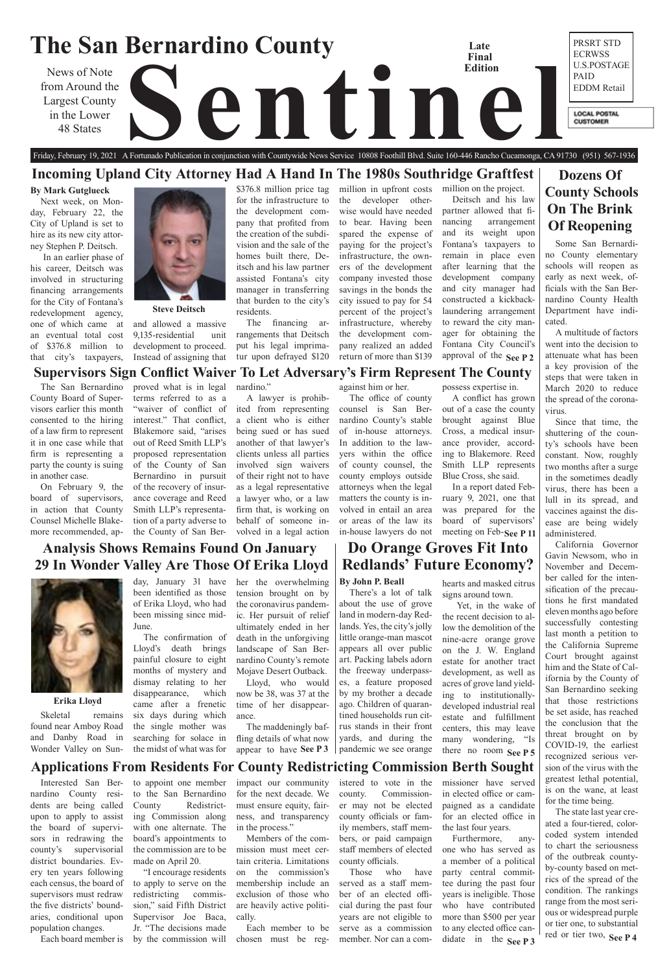### **The San Bernardino County** PRSRT STD **Late**  ECRWSS **Final**  U.S.POSTAGE **Edition** News of Note<br>
Largest County<br>
in the Lower<br>
48 States PAID from Around the EDDM Retail Largest County **LOCAL POSTAL** in the Lower **CUSTOMER** 48 States

# **Dozens Of County Schools On The Brink Of Reopening**

# **Analysis Shows Remains Found On January 29 In Wonder Valley Are Those Of Erika Lloyd**



# Friday, February 19, 2021 A Fortunado Publication in conjunction with Countywide News Service 10808 Foothill Blvd. Suite 160-446 Rancho Cucamonga, CA 91730 (951) 567-1936 **Incoming Upland City Attorney Had A Hand In The 1980s Southridge Graftfest**

# **Do Orange Groves Fit Into Redlands' Future Economy?**

# **Supervisors Sign Conflict Waiver To Let Adversary's Firm Represent The County**

# **Applications From Residents For County Redistricting Commission Berth Sought**

### **Erika Lloyd**

### **Steve Deitsch**

### **By Mark Gutglueck**

Next week, on Monday, February 22, the City of Upland is set to hire as its new city attorney Stephen P. Deitsch.

 In an earlier phase of his career, Deitsch was involved in structuring financing arrangements for the City of Fontana's redevelopment agency, one of which came at an eventual total cost of \$376.8 million to that city's taxpayers,



approval of the **See P 2** million on the project. Deitsch and his law partner allowed that financing arrangement and its weight upon Fontana's taxpayers to remain in place even after learning that the development company and city manager had constructed a kickbacklaundering arrangement to reward the city manager for obtaining the Fontana City Council's

and allowed a massive 9,135-residential unit development to proceed. Instead of assigning that \$376.8 million price tag for the infrastructure to the development company that profited from the creation of the subdivision and the sale of the homes built there, Deitsch and his law partner assisted Fontana's city manager in transferring that burden to the city's residents.

> **See P 3** | pandemic we see orange there no room See P 5 Yet, in the wake of the recent decision to allow the demolition of the nine-acre orange grove on the J. W. England estate for another tract development, as well as acres of grove land yielding to institutionallydeveloped industrial real estate and fulfillment centers, this may leave many wondering, "Is

The financing arrangements that Deitsch put his legal imprimatur upon defrayed \$120 million in upfront costs the developer otherwise would have needed to bear. Having been spared the expense of paying for the project's infrastructure, the owners of the development company invested those savings in the bonds the city issued to pay for 54 percent of the project's infrastructure, whereby the development company realized an added return of more than \$139

## **By John P. Beall**

See P 3<sup>1</sup> red or tier two, See P 4 California Governor Gavin Newsom, who in November and December called for the intensification of the precautions he first mandated eleven months ago before successfully contesting last month a petition to the California Supreme Court brought against him and the State of California by the County of San Bernardino seeking that those restrictions be set aside, has reached the conclusion that the threat brought on by COVID-19, the earliest recognized serious version of the virus with the greatest lethal potential, is on the wane, at least for the time being. The state last year created a four-tiered, colorcoded system intended to chart the seriousness of the outbreak countyby-county based on metrics of the spread of the condition. The rankings range from the most serious or widespread purple or tier one, to substantial

There's a lot of talk about the use of grove land in modern-day Redlands. Yes, the city's jolly little orange-man mascot appears all over public art. Packing labels adorn the freeway underpasses, a feature proposed by my brother a decade ago. Children of quarantined households run citrus stands in their front yards, and during the pandemic we see orange

hearts and masked citrus signs around town.

missioner have served in elected office or campaigned as a candidate for an elected office in the last four years. Furthermore, anyone who has served as a member of a political party central committee during the past four years is ineligible. Those who have contributed more than \$500 per year to any elected office candidate in the See P 3

Skeletal remains found near Amboy Road and Danby Road in Wonder Valley on Sun-

day, January 31 have been identified as those of Erika Lloyd, who had been missing since mid-June.

The confirmation of Lloyd's death brings painful closure to eight months of mystery and dismay relating to her disappearance, which came after a frenetic six days during which the single mother was searching for solace in the midst of what was for

The maddeningly baffling details of what now appear to have See P 3

Some San Bernardino County elementary schools will reopen as early as next week, officials with the San Bernardino County Health Department have indicated.

A multitude of factors went into the decision to attenuate what has been a key provision of the steps that were taken in March 2020 to reduce the spread of the coronavirus.

Since that time, the shuttering of the county's schools have been constant. Now, roughly two months after a surge in the sometimes deadly virus, there has been a lull in its spread, and vaccines against the disease are being widely administered.

### meeting on Feb-See P 11 attorneys when the legal matters the county is involved in entail an area or areas of the law its Blue Cross, she said. In a report dated February 9, 2021, one that was prepared for the board of supervisors'

Interested San Bernardino County residents are being called upon to apply to assist the board of supervisors in redrawing the county's supervisorial district boundaries. Every ten years following each census, the board of supervisors must redraw the five districts' boundaries, conditional upon population changes.

Each board member is

to appoint one member

to the San Bernardino County Redistricting Commission along with one alternate. The board's appointments to the commission are to be made on April 20. "I encourage residents to apply to serve on the redistricting commis-

sion," said Fifth District Supervisor Joe Baca, Jr. "The decisions made

by the commission will

impact our community for the next decade. We must ensure equity, fairness, and transparency in the process."

Members of the commission must meet certain criteria. Limitations on the commission's membership include an

cally.

exclusion of those who are heavily active politi-Each member to be chosen must be regmember. Nor can a com-

istered to vote in the county. Commissioner may not be elected county officials or family members, staff members, or paid campaign staff members of elected county officials. Those who have served as a staff member of an elected official during the past four years are not eligible to serve as a commission

her the overwhelming tension brought on by the coronavirus pandemic. Her pursuit of relief ultimately ended in her death in the unforgiving landscape of San Bernardino County's remote Mojave Desert Outback.

Lloyd, who would now be 38, was 37 at the time of her disappearance.

The San Bernardino County Board of Supervisors earlier this month consented to the hiring of a law firm to represent it in one case while that firm is representing a party the county is suing in another case.

On February 9, the board of supervisors, in action that County Counsel Michelle Blakemore recommended, ap-

proved what is in legal terms referred to as a "waiver of conflict of interest." That conflict, Blakemore said, "arises out of Reed Smith LLP's proposed representation of the County of San Bernardino in pursuit of the recovery of insurance coverage and Reed Smith LLP's representation of a party adverse to the County of San Ber-

nardino."

A lawyer is prohibited from representing a client who is either being sued or has sued another of that lawyer's clients unless all parties involved sign waivers of their right not to have as a legal representative a lawyer who, or a law firm that, is working on behalf of someone involved in a legal action against him or her.

The office of county counsel is San Bernardino County's stable of in-house attorneys. In addition to the lawyers within the office of county counsel, the county employs outside in-house lawyers do not possess expertise in.

A conflict has grown out of a case the county brought against Blue Cross, a medical insurance provider, according to Blakemore. Reed Smith LLP represents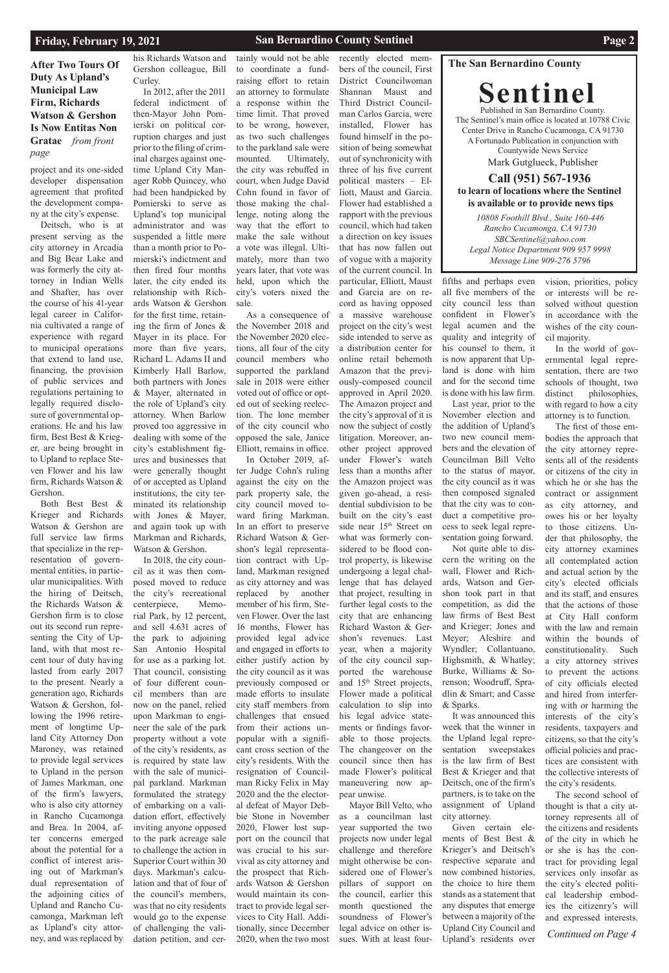### **San Bernardino County Sentinel Page 2**

### **The San Bernardino County**

**Sentinel** Published in San Bernardino County. The Sentinel's main office is located at 10788 Civic Center Drive in Rancho Cucamonga, CA 91730 A Fortunado Publication in conjunction with Countywide News Service Mark Gutglueck, Publisher

### **Call (951) 567-1936 to learn of locations where the Sentinel is available or to provide news tips**

**After Two Tours Of Duty As Upland's Municipal Law Firm, Richards Watson & Gershon Is Now Entitas Non Gratae** *from front page*

> *10808 Foothill Blvd., Suite 160-446 Rancho Cucamonga, CA 91730 SBCSentinel@yahoo.com Legal Notice Department 909 957 9998 Message Line 909-276 5796*

project and its one-sided developer dispensation agreement that profited the development company at the city's expense.

Deitsch, who is at present serving as the city attorney in Arcadia and Big Bear Lake and was formerly the city attorney in Indian Wells and Shafter, has over the course of his 41-year legal career in California cultivated a range of experience with regard to municipal operations that extend to land use, financing, the provision of public services and regulations pertaining to legally required disclosure of governmental operations. He and his law firm, Best Best & Krieger, are being brought in to Upland to replace Steven Flower and his law firm, Richards Watson & Gershon.

Both Best Best & Krieger and Richards Watson & Gershon are full service law firms that specialize in the representation of governmental entities, in particular municipalities. With the hiring of Deitsch, the Richards Watson & Gershon firm is to close out its second run representing the City of Upland, with that most recent tour of duty having lasted from early 2017 to the present. Nearly a generation ago, Richards Watson & Gershon, following the 1996 retirement of longtime Upland City Attorney Don Maroney, was retained to provide legal services to Upland in the person of James Markman, one of the firm's lawyers, who is also city attorney in Rancho Cucamonga and Brea. In 2004, after concerns emerged about the potential for a conflict of interest arising out of Markman's dual representation of the adjoining cities of Upland and Rancho Cucamonga, Markman left as Upland's city attorney, and was replaced by

his Richards Watson and Gershon colleague, Bill Curley.

In 2012, after the 2011 federal indictment of then-Mayor John Pomierski on political corruption charges and just prior to the filing of criminal charges against onetime Upland City Manager Robb Quincey, who had been handpicked by Pomierski to serve as Upland's top municipal administrator and was suspended a little more than a month prior to Pomierski's indictment and then fired four months later, the city ended its relationship with Richards Watson & Gershon for the first time, retaining the firm of Jones & Mayer in its place. For more than five years, Richard L. Adams II and Kimberly Hall Barlow, both partners with Jones & Mayer, alternated in the role of Upland's city attorney. When Barlow proved too aggressive in dealing with some of the city's establishment figures and businesses that were generally thought of or accepted as Upland institutions, the city terminated its relationship with Jones & Mayer, and again took up with Markman and Richards, Watson & Gershon.

In 2018, the city council as it was then composed moved to reduce the city's recreational centerpiece, Memorial Park, by 12 percent, and sell 4.631 acres of the park to adjoining San Antonio Hospital for use as a parking lot. That council, consisting of four different council members than are now on the panel, relied upon Markman to engineer the sale of the park property without a vote of the city's residents, as is required by state law with the sale of municipal parkland. Markman formulated the strategy of embarking on a validation effort, effectively inviting anyone opposed to the park acreage sale to challenge the action in Superior Court within 30 days. Markman's calculation and that of four of the council's members, was that no city residents would go to the expense of challenging the validation petition, and cer-

tainly would not be able to coordinate a fundraising effort to retain an attorney to formulate a response within the time limit. That proved to be wrong, however, as two such challenges to the parkland sale were mounted. Ultimately, the city was rebuffed in court, when Judge David Cohn found in favor of those making the challenge, noting along the way that the effort to make the sale without a vote was illegal. Ultimately, more than two years later, that vote was held, upon which the city's voters nixed the sale.

As a consequence of the November 2018 and the November 2020 elections, all four of the city council members who supported the parkland sale in 2018 were either voted out of office or opted out of seeking reelection. The lone member of the city council who opposed the sale, Janice Elliott, remains in office.

In October 2019, after Judge Cohn's ruling against the city on the park property sale, the city council moved toward firing Markman. In an effort to preserve Richard Watson & Gershon's legal representation contract with Upland, Markman resigned as city attorney and was replaced by another member of his firm, Steven Flower. Over the last 16 months, Flower has provided legal advice and engaged in efforts to either justify action by the city council as it was previously composed or made efforts to insulate city staff members from challenges that ensued from their actions unpopular with a significant cross section of the city's residents. With the resignation of Councilman Ricky Felix in May 2020 and the the electoral defeat of Mayor Debbie Stone in November 2020, Flower lost support on the council that was crucial to his survival as city attorney and the prospect that Richards Watson & Gershon would maintain its contract to provide legal services to City Hall. Additionally, since December 2020, when the two most

*Continued on Page 4* The second school of thought is that a city attorney represents all of the citizens and residents of the city in which he or she is has the contract for providing legal services only insofar as the city's elected political leadership embodies the citizenry's will and expressed interests.

recently elected members of the council, First District Councilwoman Shannan Maust and Third District Councilman Carlos Garcia, were installed, Flower has found himself in the position of being somewhat out of synchronicity with three of his five current political masters – Elliott, Maust and Garcia. Flower had established a rapport with the previous council, which had taken a direction on key issues that has now fallen out of vogue with a majority of the current council. In particular, Elliott, Maust and Garcia are on record as having opposed a massive warehouse project on the city's west side intended to serve as a distribution center for online retail behemoth Amazon that the previously-composed council approved in April 2020. The Amazon project and the city's approval of it is now the subject of costly litigation. Moreover, another project approved under Flower's watch less than a months after the Amazon project was given go-ahead, a residential subdivision to be built on the city's east side near 15<sup>th</sup> Street on what was formerly considered to be flood control property, is likewise undergoing a legal challenge that has delayed that project, resulting in further legal costs to the city that are enhancing Richard Waston & Gershon's revenues. Last year, when a majority of the city council supported the warehouse

and 15th Street projects, Flower made a political calculation to slip into his legal advice statements or findings favorable to those projects. The changeover on the council since then has made Flower's political maneuvering now appear unwise. Mayor Bill Velto, who as a councilman last year supported the two projects now under legal challenge and therefore might otherwise be considered one of Flower's pillars of support on the council, earlier this month questioned the soundness of Flower's legal advice on other issues. With at least four-

fifths and perhaps even all five members of the city council less than confident in Flower's legal acumen and the quality and integrity of his counsel to them, it is now apparent that Upland is done with him and for the second time is done with his law firm.

Last year, prior to the November election and the addition of Upland's two new council members and the elevation of Councilman Bill Velto to the status of mayor, the city council as it was then composed signaled that the city was to conduct a competitive process to seek legal representation going forward.

Not quite able to discern the writing on the wall, Flower and Richards, Watson and Gershon took part in that competition, as did the law firms of Best Best and Krieger; Jones and Meyer; Aleshire and Wyndler; Collantuano, Highsmith, & Whatley; Burke, Williams & Sorenson; Woodruff, Spradlin & Smart; and Casse & Sparks.

It was announced this week that the winner in the Upland legal representation sweepstakes is the law firm of Best

Best & Krieger and that Deitsch, one of the firm's partners, is to take on the assignment of Upland city attorney. Given certain elements of Best Best & Krieger's and Deitsch's respective separate and now combined histories, the choice to hire them stands as a statement that any disputes that emerge between a majority of the Upland City Council and Upland's residents over

vision, priorities, policy or interests will be resolved without question in accordance with the wishes of the city council majority.

In the world of governmental legal representation, there are two schools of thought, two distinct philosophies, with regard to how a city attorney is to function.

The first of those embodies the approach that the city attorney represents all of the residents or citizens of the city in which he or she has the contract or assignment as city attorney, and owes his or her loyalty to those citizens. Under that philosophy, the city attorney examines all contemplated action and actual action by the city's elected officials and its staff, and ensures that the actions of those at City Hall conform with the law and remain within the bounds of constitutionality. Such a city attorney strives to prevent the actions of city officials elected and hired from interfering with or harming the interests of the city's residents, taxpayers and citizens, so that the city's official policies and prac-

tices are consistent with the collective interests of the city's residents.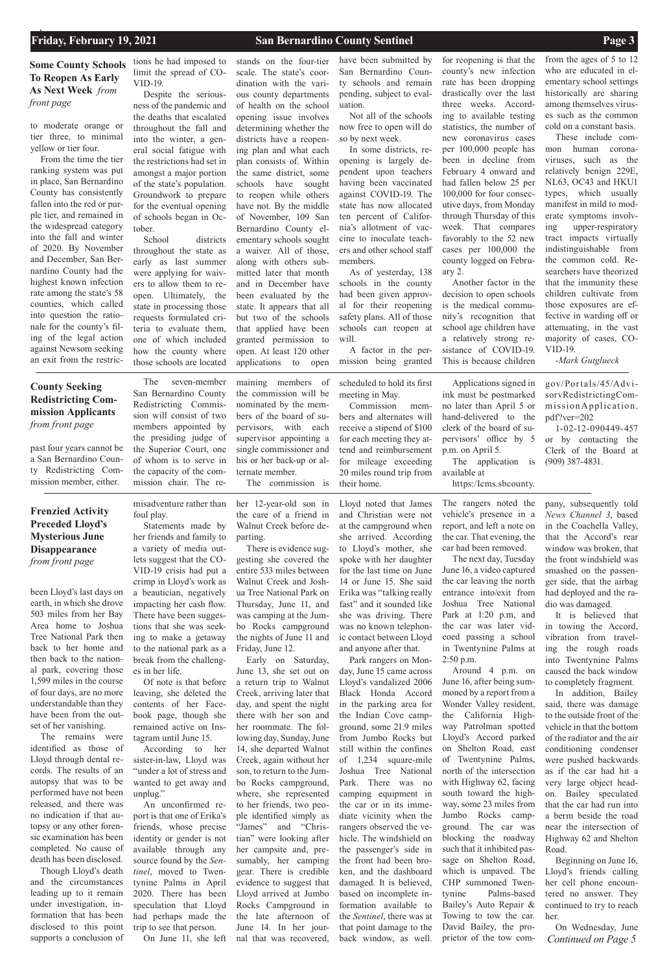## **Some County Schools To Reopen As Early As Next Week** *from front page*

been Lloyd's last days on earth, in which she drove 503 miles from her Bay Area home to Joshua Tree National Park then back to her home and then back to the national park, covering those 1,599 miles in the course of four days, are no more understandable than they have been from the outset of her vanishing.

The remains were identified as those of Lloyd through dental records. The results of an autopsy that was to be performed have not been released, and there was no indication if that autopsy or any other forensic examination has been completed. No cause of death has been disclosed.

Though Lloyd's death and the circumstances leading up to it remain under investigation, information that has been disclosed to this point supports a conclusion of

misadventure rather than foul play.

Statements made by her friends and family to a variety of media outlets suggest that the CO-VID-19 crisis had put a crimp in Lloyd's work as a beautician, negatively impacting her cash flow. There have been suggestions that she was seeking to make a getaway to the national park as a break from the challenges in her life.

Of note is that before leaving, she deleted the contents of her Facebook page, though she remained active on Instagram until June 15.

According to her sister-in-law, Lloyd was "under a lot of stress and wanted to get away and unplug." An unconfirmed report is that one of Erika's friends, whose precise identity or gender is not available through any source found by the *Sentinel*, moved to Twentynine Palms in April 2020. There has been speculation that Lloyd had perhaps made the trip to see that person. On June 11, she left

her 12-year-old son in the care of a friend in Walnut Creek before departing.

There is evidence sug-

gesting she covered the entire 533 miles between Walnut Creek and Joshua Tree National Park on Thursday, June 11, and was camping at the Jumbo Rocks campground the nights of June 11 and Friday, June 12.

Early on Saturday, June 13, she set out on a return trip to Walnut Creek, arriving later that day, and spent the night there with her son and her roommate. The following day, Sunday, June 14, she departed Walnut Creek, again without her son, to return to the Jumbo Rocks campground, where, she represented to her friends, two people identified simply as "James" and "Christian" were looking after her campsite and, presumably, her camping gear. There is credible evidence to suggest that Lloyd arrived at Jumbo Rocks Campground in the late afternoon of June 14. In her journal that was recovered,

*Continued on Page 5* On Wednesday, June

Lloyd noted that James and Christian were not at the campground when she arrived. According to Lloyd's mother, she spoke with her daughter for the last time on June 14 or June 15. She said Erika was "talking really fast" and it sounded like she was driving. There was no known telephonic contact between Lloyd and anyone after that.

School districts throughout the state as early as last summer were applying for waivers to allow them to reopen. Ultimately, the state in processing those requests formulated criteria to evaluate them, one of which included how the county where those schools are located

> Park rangers on Monday, June 15 came across Lloyd's vandalized 2006 Black Honda Accord in the parking area for the Indian Cove campground, some 21.9 miles from Jumbo Rocks but still within the confines 1,234 square-mile Joshua Tree National Park. There was no camping equipment in the car or in its immediate vicinity when the rangers observed the vehicle. The windshield on the passenger's side in the front had been broken, and the dashboard damaged. It is believed, based on incomplete information available to the *Sentinel*, there was at that point damage to the back window, as well.

The rangers noted the vehicle's presence in a report, and left a note on the car. That evening, the car had been removed.

The next day, Tuesday June 16, a video captured the car leaving the north entrance into/exit from Joshua Tree National Park at 1:20 p.m, and the car was later videoed passing a school in Twentynine Palms at 2:50 p.m.

pany, subsequently told *News Channel 3*, based in the Coachella Valley, that the Accord's rear window was broken, that the front windshield was smashed on the passenger side, that the airbag had deployed and the radio was damaged.

Around 4 p.m. on June 16, after being summoned by a report from a Wonder Valley resident, the California Highway Patrolman spotted Lloyd's Accord parked on Shelton Road, east of Twentynine Palms, north of the intersection with Highway 62, facing south toward the highway, some 23 miles from Jumbo Rocks campground. The car was blocking the roadway such that it inhibited passage on Shelton Road, which is unpaved. The CHP summoned Twentynine Palms-based Bailey's Auto Repair & Towing to tow the car. David Bailey, the proprietor of the tow comher.

It is believed that in towing the Accord, vibration from traveling the rough roads into Twentynine Palms caused the back window to completely fragment.

In addition, Bailey said, there was damage to the outside front of the vehicle in that the bottom of the radiator and the air conditioning condenser were pushed backwards as if the car had hit a very large object headon. Bailey speculated that the car had run into a berm beside the road near the intersection of Highway 62 and Shelton Road. Beginning on June 16, Lloyd's friends calling her cell phone encountered no answer. They continued to try to reach

to moderate orange or tier three, to minimal yellow or tier four.

From the time the tier ranking system was put in place, San Bernardino County has consistently fallen into the red or purple tier, and remained in the widespread category into the fall and winter of 2020. By November and December, San Bernardino County had the highest known infection rate among the state's 58 counties, which called into question the rationale for the county's filing of the legal action against Newsom seeking an exit from the restrictions he had imposed to limit the spread of CO-VID-19.

Despite the seriousness of the pandemic and the deaths that escalated throughout the fall and into the winter, a general social fatigue with the restrictions had set in amongst a major portion of the state's population. Groundwork to prepare for the eventual opening of schools began in October.

stands on the four-tier scale. The state's coordination with the various county departments of health on the school opening issue involves determining whether the districts have a reopening plan and what each plan consists of. Within the same district, some schools have sought to reopen while others have not. By the middle of November, 109 San Bernardino County elementary schools sought a waiver. All of those, along with others submitted later that month and in December have been evaluated by the state. It appears that all but two of the schools that applied have been granted permission to

open. At least 120 other applications to open have been submitted by San Bernardino County schools and remain pending, subject to evaluation.

Not all of the schools now free to open will do so by next week.

In some districts, reopening is largely dependent upon teachers having been vaccinated against COVID-19. The state has now allocated ten percent of California's allotment of vaccine to inoculate teachers and other school staff members.

As of yesterday, 138 schools in the county had been given approval for their reopening safety plans. All of those schools can reopen at will.

A factor in the permission being granted

for reopening is that the county's new infection rate has been dropping drastically over the last three weeks. According to available testing statistics, the number of new coronavirus cases per 100,000 people has been in decline from February 4 onward and had fallen below 25 per 100,000 for four consecutive days, from Monday through Thursday of this week. That compares favorably to the 52 new cases per 100,000 the county logged on February 2.

Another factor in the decision to open schools is the medical community's recognition that school age children have a relatively strong resistance of COVID-19. This is because children

from the ages of 5 to 12 who are educated in elementary school settings historically are sharing among themselves viruses such as the common cold on a constant basis.

These include common human coronaviruses, such as the relatively benign 229E, NL63, OC43 and HKU1 types, which usually manifest in mild to moderate symptoms involving upper-respiratory tract impacts virtually indistinguishable from the common cold. Researchers have theorized that the immunity these children cultivate from those exposures are effective in warding off or attenuating, in the vast majority of cases, CO-VID-19.

-*Mark Gutglueck*

past four years cannot be a San Bernardino County Redistricting Commission member, either.

The seven-member San Bernardino County Redistricting Commission will consist of two members appointed by the presiding judge of the Superior Court, one of whom is to serve in the capacity of the commission chair. The re-

maining members of the commission will be

nominated by the members of the board of supervisors, with each supervisor appointing a single commissioner and his or her back-up or alternate member.

The commission is

scheduled to hold its first meeting in May.

Commission members and alternates will receive a stipend of \$100 for each meeting they attend and reimbursement for mileage exceeding 20 miles round trip from their home.

Applications signed in ink must be postmarked no later than April 5 or hand-delivered to the clerk of the board of supervisors' office by 5 p.m. on April 5.

The application is available at

https:/Icms.sbcounty.

## **County Seeking Redistricting Commission Applicants**  *from front page*

## **Frenzied Activity Preceded Lloyd's Mysterious June Disappearance**

*from front page*

gov/Por tals/45/Advi-

sorvRedistrictingCommission Application. pdf?ver=202 1-02-12-090449-457 or by contacting the

Clerk of the Board at (909) 387-4831.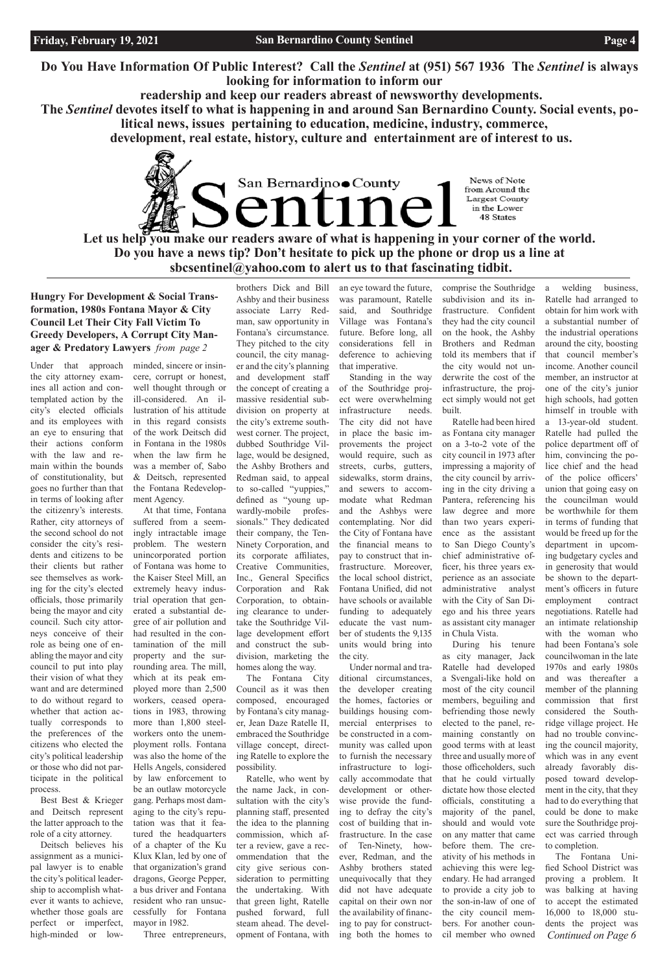**Do You Have Information Of Public Interest? Call the** *Sentinel* **at (951) 567 1936 The** *Sentinel* **is always looking for information to inform our**

 **readership and keep our readers abreast of newsworthy developments.**

San Bernardino County

**The** *Sentinel* **devotes itself to what is happening in and around San Bernardino County. Social events, political news, issues pertaining to education, medicine, industry, commerce,**

Let us help you make our readers aware of what is happening in your corner of the world. **Do you have a news tip? Don't hesitate to pick up the phone or drop us a line at sbcsentinel@yahoo.com to alert us to that fascinating tidbit.**

 **development, real estate, history, culture and entertainment are of interest to us.** 

News of Note from Around the Largest County in the Lower 48 States

**Hungry For Development & Social Transformation, 1980s Fontana Mayor & City Council Let Their City Fall Victim To Greedy Developers, A Corrupt City Manager & Predatory Lawyers** *from page 2*

Under that approach the city attorney examines all action and contemplated action by the city's elected officials and its employees with an eye to ensuring that their actions conform with the law and remain within the bounds of constitutionality, but goes no further than that in terms of looking after the citizenry's interests. Rather, city attorneys of the second school do not consider the city's residents and citizens to be their clients but rather see themselves as working for the city's elected officials, those primarily being the mayor and city council. Such city attorneys conceive of their role as being one of enabling the mayor and city council to put into play their vision of what they want and are determined to do without regard to whether that action actually corresponds to the preferences of the citizens who elected the city's political leadership or those who did not participate in the political process.

Best Best & Krieger and Deitsch represent the latter approach to the role of a city attorney.

Deitsch believes his assignment as a municipal lawyer is to enable the city's political leadership to accomplish whatever it wants to achieve, whether those goals are perfect or imperfect, high-minded or lowminded, sincere or insincere, corrupt or honest, well thought through or ill-considered. An illustration of his attitude in this regard consists of the work Deitsch did in Fontana in the 1980s when the law firm he was a member of, Sabo & Deitsch, represented the Fontana Redevelopment Agency.

At that time, Fontana suffered from a seemingly intractable image problem. The western unincorporated portion of Fontana was home to the Kaiser Steel Mill, an extremely heavy industrial operation that generated a substantial degree of air pollution and had resulted in the contamination of the mill property and the surrounding area. The mill, which at its peak employed more than 2,500 workers, ceased operations in 1983, throwing more than 1,800 steelworkers onto the unemployment rolls. Fontana was also the home of the Hells Angels, considered by law enforcement to be an outlaw motorcycle gang. Perhaps most damaging to the city's reputation was that it featured the headquarters of a chapter of the Ku Klux Klan, led by one of that organization's grand dragons, George Pepper, a bus driver and Fontana resident who ran unsuccessfully for Fontana mayor in 1982. Three entrepreneurs, brothers Dick and Bill

Ashby and their business associate Larry Redman, saw opportunity in Fontana's circumstance. They pitched to the city council, the city manager and the city's planning and development staff the concept of creating a massive residential subdivision on property at the city's extreme southwest corner. The project, dubbed Southridge Village, would be designed, the Ashby Brothers and Redman said, to appeal to so-called "yuppies," defined as "young upwardly-mobile professionals." They dedicated their company, the Ten-Ninety Corporation, and its corporate affiliates, Creative Communities, Inc., General Specifics Corporation and Rak Corporation, to obtaining clearance to undertake the Southridge Village development effort and construct the subdivision, marketing the homes along the way.

The Fontana City Council as it was then composed, encouraged by Fontana's city manager, Jean Daze Ratelle II, embraced the Southridge village concept, directing Ratelle to explore the possibility. Ratelle, who went by the name Jack, in consultation with the city's planning staff, presented the idea to the planning commission, which after a review, gave a recommendation that the city give serious consideration to permitting the undertaking. With that green light, Ratelle pushed forward, full steam ahead. The development of Fontana, with

*Continued on Page 6* a 13-year-old student. Ratelle had pulled the police department off of him, convincing the police chief and the head of the police officers' union that going easy on the councilman would be worthwhile for them in terms of funding that would be freed up for the department in upcoming budgetary cycles and in generosity that would be shown to the department's officers in future employment contract negotiations. Ratelle had an intimate relationship with the woman who had been Fontana's sole councilwoman in the late 1970s and early 1980s and was thereafter a member of the planning commission that first considered the Southridge village project. He had no trouble convincing the council majority, which was in any event already favorably disposed toward development in the city, that they had to do everything that could be done to make sure the Southridge project was carried through to completion. The Fontana Unified School District was proving a problem. It was balking at having to accept the estimated 16,000 to 18,000 students the project was

an eye toward the future, was paramount, Ratelle said, and Southridge Village was Fontana's future. Before long, all considerations fell in deference to achieving that imperative.

Standing in the way of the Southridge project were overwhelming infrastructure needs. The city did not have in place the basic improvements the project would require, such as streets, curbs, gutters, sidewalks, storm drains, and sewers to accommodate what Redman and the Ashbys were contemplating. Nor did the City of Fontana have the financial means to pay to construct that infrastructure. Moreover, the local school district, Fontana Unified, did not have schools or available funding to adequately educate the vast number of students the 9,135 units would bring into the city.

Under normal and traditional circumstances, the developer creating the homes, factories or buildings housing commercial enterprises to be constructed in a community was called upon to furnish the necessary infrastructure to logically accommodate that development or otherwise provide the funding to defray the city's cost of building that infrastructure. In the case of Ten-Ninety, however, Redman, and the Ashby brothers stated unequivocally that they did not have adequate capital on their own nor the availability of financing to pay for constructing both the homes to

comprise the Southridge subdivision and its infrastructure. Confident they had the city council on the hook, the Ashby Brothers and Redman told its members that if the city would not underwrite the cost of the infrastructure, the project simply would not get built.

Ratelle had been hired as Fontana city manager on a 3-to-2 vote of the city council in 1973 after impressing a majority of the city council by arriving in the city driving a Pantera, referencing his law degree and more than two years experience as the assistant to San Diego County's chief administrative officer, his three years experience as an associate administrative analyst with the City of San Diego and his three years as assistant city manager in Chula Vista.

During his tenure as city manager, Jack Ratelle had developed a Svengali-like hold on most of the city council members, beguiling and befriending those newly elected to the panel, remaining constantly on good terms with at least three and usually more of those officeholders, such that he could virtually dictate how those elected officials, constituting a majority of the panel, should and would vote on any matter that came before them. The creativity of his methods in achieving this were legendary. He had arranged to provide a city job to the son-in-law of one of the city council members. For another council member who owned

a welding business, Ratelle had arranged to obtain for him work with a substantial number of the industrial operations around the city, boosting that council member's income. Another council member, an instructor at one of the city's junior high schools, had gotten himself in trouble with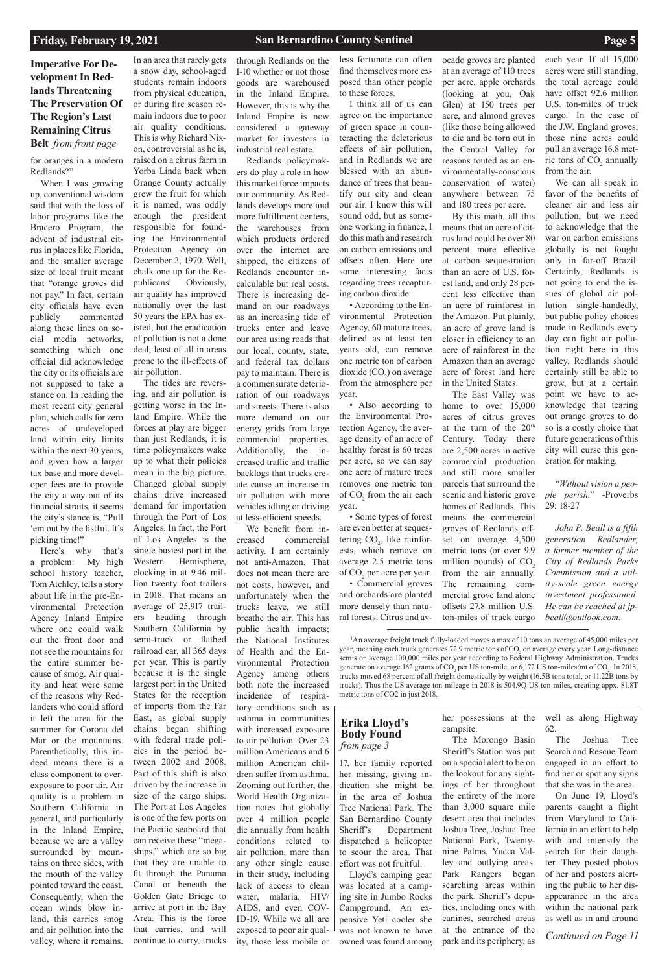## **Imperative For Development In Redlands Threatening The Preservation Of The Region's Last Remaining Citrus Belt** *from front page*

**Erika Lloyd's Body Found**  *from page 3*

*Continued on Page 11*

for oranges in a modern Redlands?"

When I was growing up, conventional wisdom said that with the loss of labor programs like the Bracero Program, the advent of industrial citrus in places like Florida, and the smaller average size of local fruit meant that "orange groves did not pay." In fact, certain city officials have even publicly commented along these lines on social media networks, something which one official did acknowledge the city or its officials are not supposed to take a stance on. In reading the most recent city general plan, which calls for zero acres of undeveloped land within city limits within the next 30 years, and given how a larger tax base and more developer fees are to provide the city a way out of its financial straits, it seems the city's stance is, "Pull 'em out by the fistful. It's picking time!"

Here's why that's a problem: My high school history teacher, Tom Atchley, tells a story about life in the pre-Environmental Protection Agency Inland Empire where one could walk out the front door and not see the mountains for the entire summer because of smog. Air quality and heat were some of the reasons why Redlanders who could afford it left the area for the summer for Corona del Mar or the mountains. Parenthetically, this indeed means there is a class component to overexposure to poor air. Air quality is a problem in Southern California in general, and particularly in the Inland Empire, because we are a valley surrounded by mountains on three sides, with the mouth of the valley pointed toward the coast. Consequently, when the ocean winds blow inland, this carries smog and air pollution into the valley, where it remains.

In an area that rarely gets a snow day, school-aged students remain indoors from physical education, or during fire season remain indoors due to poor air quality conditions. This is why Richard Nixon, controversial as he is, raised on a citrus farm in Yorba Linda back when Orange County actually grew the fruit for which it is named, was oddly enough the president responsible for founding the Environmental Protection Agency on December 2, 1970. Well, chalk one up for the Republicans! Obviously, air quality has improved nationally over the last 50 years the EPA has existed, but the eradication of pollution is not a done deal, least of all in areas prone to the ill-effects of air pollution.

The tides are reversing, and air pollution is getting worse in the Inland Empire. While the forces at play are bigger than just Redlands, it is time policymakers wake up to what their policies mean in the big picture. Changed global supply chains drive increased demand for importation through the Port of Los Angeles. In fact, the Port of Los Angeles is the single busiest port in the Western Hemisphere, clocking in at 9.46 million twenty foot trailers in 2018. That means an average of 25,917 trailers heading through Southern California by semi-truck or flatbed railroad car, all 365 days per year. This is partly because it is the single largest port in the United States for the reception of imports from the Far East, as global supply chains began shifting with federal trade policies in the period between 2002 and 2008. Part of this shift is also driven by the increase in size of the cargo ships. The Port at Los Angeles is one of the few ports on the Pacific seaboard that can receive these "megaships," which are so big that they are unable to fit through the Panama Canal or beneath the Golden Gate Bridge to arrive at port in the Bay Area. This is the force that carries, and will continue to carry, trucks

• Some types of forest are even better at sequestering  $CO<sub>2</sub>$ , like rainforests, which remove on average 2.5 metric tons of CO<sub>2</sub> per acre per year.

through Redlands on the I-10 whether or not those goods are warehoused in the Inland Empire. However, this is why the Inland Empire is now considered a gateway market for investors in industrial real estate.

each year. If all 15,000 acres were still standing, the total acreage could have offset 92.6 million U.S. ton-miles of truck cargo.<sup>1</sup> In the case of the J.W. England groves, those nine acres could pull an average 16.8 metric tons of  $CO_2$  annually

Redlands policymakers do play a role in how this market force impacts our community. As Redlands develops more and more fulfillment centers, the warehouses from which products ordered over the internet are shipped, the citizens of Redlands encounter incalculable but real costs. There is increasing demand on our roadways as an increasing tide of trucks enter and leave our area using roads that our local, county, state, and federal tax dollars pay to maintain. There is a commensurate deterioration of our roadways and streets. There is also more demand on our energy grids from large commercial properties. Additionally, the increased traffic and traffic backlogs that trucks create cause an increase in air pollution with more vehicles idling or driving at less-efficient speeds.

> <sup>1</sup>An average freight truck fully-loaded moves a max of 10 tons an average of 45,000 miles per year, meaning each truck generates 72.9 metric tons of CO<sub>2</sub> on average every year. Long-distance semis on average 100,000 miles per year according to Federal Highway Administration. Trucks generate on average 162 grams of CO<sub>2</sub> per US ton-mile, or 6,172 US ton-miles/mt of CO<sub>2</sub>. In 2018, trucks moved 68 percent of all freight domestically by weight (16.5B tons total, or 11.22B tons by trucks). Thus the US average ton-mileage in 2018 is 504.9Q US ton-miles, creating appx. 81.8T metric tons of CO2 in just 2018.

We benefit from increased commercial activity. I am certainly not anti-Amazon. That does not mean there are not costs, however, and unfortunately when the trucks leave, we still breathe the air. This has public health impacts; the National Institutes of Health and the Environmental Protection Agency among others both note the increased incidence of respiratory conditions such as asthma in communities with increased exposure to air pollution. Over 23 million Americans and 6 million American children suffer from asthma. Zooming out further, the World Health Organization notes that globally over 4 million people die annually from health conditions related to air pollution, more than any other single cause in their study, including lack of access to clean water, malaria, HIV/ AIDS, and even COV-ID-19. While we all are exposed to poor air quality, those less mobile or

less fortunate can often find themselves more exposed than other people to these forces.

I think all of us can agree on the importance of green space in counteracting the deleterious effects of air pollution, and in Redlands we are blessed with an abundance of trees that beautify our city and clean our air. I know this will sound odd, but as someone working in finance, I do this math and research on carbon emissions and offsets often. Here are some interesting facts regarding trees recapturing carbon dioxide:

• According to the Environmental Protection Agency, 60 mature trees, defined as at least ten years old, can remove one metric ton of carbon dioxide  $(CO_2)$  on average from the atmosphere per year.

• Also according to the Environmental Protection Agency, the average density of an acre of healthy forest is 60 trees per acre, so we can say one acre of mature trees removes one metric ton of  $CO_2$  from the air each year.

• Commercial groves and orchards are planted more densely than natural forests. Citrus and avocado groves are planted at an average of 110 trees per acre, apple orchards (looking at you, Oak Glen) at 150 trees per acre, and almond groves (like those being allowed to die and be torn out in the Central Valley for reasons touted as an environmentally-conscious conservation of water) anywhere between 75 and 180 trees per acre.

By this math, all this means that an acre of citrus land could be over 80 percent more effective at carbon sequestration than an acre of U.S. forest land, and only 28 percent less effective than an acre of rainforest in the Amazon. Put plainly, an acre of grove land is closer in efficiency to an acre of rainforest in the Amazon than an average acre of forest land here in the United States.

The East Valley was home to over 15,000 acres of citrus groves at the turn of the 20th Century. Today there are 2,500 acres in active commercial production and still more smaller parcels that surround the scenic and historic grove homes of Redlands. This means the commercial groves of Redlands offset on average 4,500 metric tons (or over 9.9 million pounds) of  $CO<sub>2</sub>$ from the air annually. The remaining commercial grove land alone offsets 27.8 million U.S. ton-miles of truck cargo from the air.

We can all speak in favor of the benefits of cleaner air and less air pollution, but we need to acknowledge that the war on carbon emissions globally is not fought only in far-off Brazil. Certainly, Redlands is not going to end the issues of global air pollution single-handedly, but public policy choices made in Redlands every day can fight air pollution right here in this valley. Redlands should certainly still be able to grow, but at a certain point we have to acknowledge that tearing out orange groves to do so is a costly choice that future generations of this city will curse this generation for making.

"*Without vision a people perish.*" -Proverbs 29: 18-27

*John P. Beall is a fifth generation Redlander, a former member of the City of Redlands Parks Commission and a utility-scale green energy investment professional. He can be reached at jpbeall@outlook.com.*

17, her family reported her missing, giving indication she might be in the area of Joshua Tree National Park. The San Bernardino County Sheriff's Department dispatched a helicopter to scour the area. That effort was not fruitful. Lloyd's camping gear was located at a camping site in Jumbo Rocks Campground. An expensive Yeti cooler she was not known to have owned was found among

her possessions at the campsite. The Morongo Basin well as along Highway 62.

on a special alert to be on the lookout for any sightings of her throughout the entirety of the more than 3,000 square mile desert area that includes Joshua Tree, Joshua Tree National Park, Twentynine Palms, Yucca Valley and outlying areas. Park Rangers began searching areas within the park. Sheriff's deputies, including ones with canines, searched areas at the entrance of the park and its periphery, as

Sheriff's Station was put Search and Rescue Team The Joshua Tree engaged in an effort to find her or spot any signs that she was in the area. On June 19, Lloyd's parents caught a flight from Maryland to California in an effort to help with and intensify the search for their daughter. They posted photos of her and posters alerting the public to her disappearance in the area within the national park as well as in and around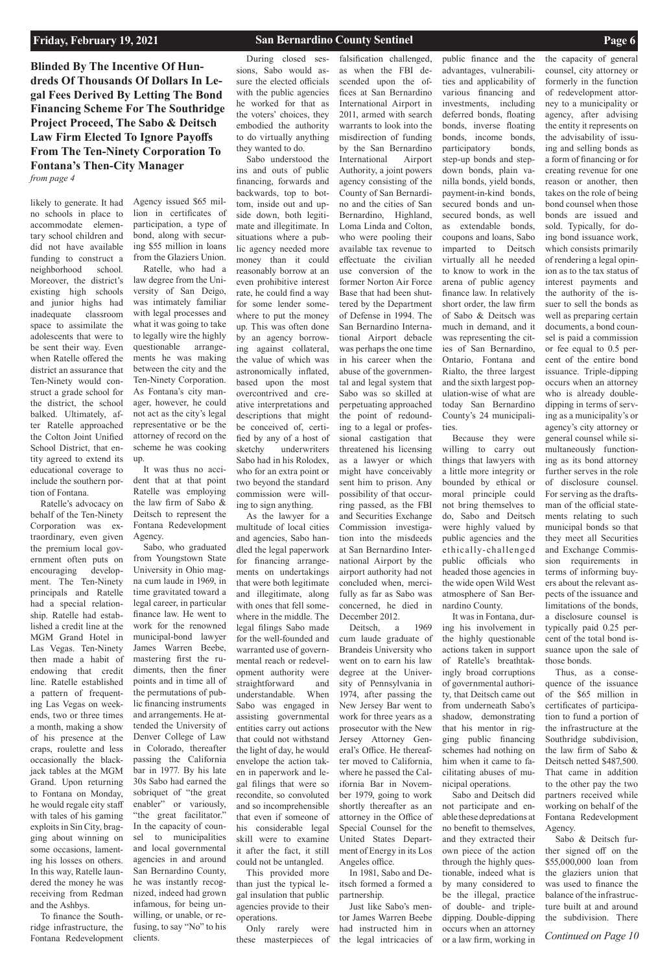**Blinded By The Incentive Of Hundreds Of Thousands Of Dollars In Legal Fees Derived By Letting The Bond Financing Scheme For The Southridge Project Proceed, The Sabo & Deitsch Law Firm Elected To Ignore Payoffs From The Ten-Ninety Corporation To Fontana's Then-City Manager** *from page 4*

*Continued on Page 10*

likely to generate. It had no schools in place to accommodate elementary school children and did not have available funding to construct a neighborhood school. Moreover, the district's existing high schools and junior highs had inadequate classroom space to assimilate the adolescents that were to be sent their way. Even when Ratelle offered the district an assurance that Ten-Ninety would construct a grade school for the district, the school balked. Ultimately, after Ratelle approached the Colton Joint Unified School District, that entity agreed to extend its educational coverage to include the southern portion of Fontana.

Ratelle's advocacy on behalf of the Ten-Ninety Corporation was extraordinary, even given the premium local government often puts on encouraging development. The Ten-Ninety principals and Ratelle had a special relationship. Ratelle had established a credit line at the MGM Grand Hotel in Las Vegas. Ten-Ninety then made a habit of endowing that credit line. Ratelle established a pattern of frequenting Las Vegas on weekends, two or three times a month, making a show of his presence at the craps, roulette and less occasionally the blackjack tables at the MGM Grand. Upon returning to Fontana on Monday, he would regale city staff with tales of his gaming exploits in Sin City, bragging about winning on some occasions, lamenting his losses on others. In this way, Ratelle laundered the money he was receiving from Redman and the Ashbys. To finance the Southridge infrastructure, the Fontana Redevelopment

Agency issued \$65 million in certificates of participation, a type of bond, along with securing \$55 million in loans from the Glaziers Union.

Ratelle, who had a law degree from the University of San Deigo, was intimately familiar with legal processes and what it was going to take to legally wire the highly questionable arrangements he was making between the city and the Ten-Ninety Corporation. As Fontana's city manager, however, he could not act as the city's legal representative or be the attorney of record on the scheme he was cooking up.

It was thus no accident that at that point Ratelle was employing the law firm of Sabo & Deitsch to represent the Fontana Redevelopment Agency.

Sabo, who graduated from Youngstown State University in Ohio magna cum laude in 1969, in time gravitated toward a legal career, in particular finance law. He went to work for the renowned municipal-bond lawyer James Warren Beebe, mastering first the rudiments, then the finer points and in time all of the permutations of public financing instruments and arrangements. He attended the University of Denver College of Law in Colorado, thereafter passing the California bar in 1977. By his late 30s Sabo had earned the sobriquet of "the great enabler" or variously, "the great facilitator." In the capacity of counsel to municipalities and local governmental agencies in and around San Bernardino County, he was instantly recognized, indeed had grown infamous, for being unwilling, or unable, or refusing, to say "No" to his clients.

During closed sessions, Sabo would assure the elected officials with the public agencies he worked for that as the voters' choices, they embodied the authority to do virtually anything they wanted to do.

Sabo understood the ins and outs of public financing, forwards and backwards, top to bottom, inside out and upside down, both legitimate and illegitimate. In situations where a public agency needed more money than it could reasonably borrow at an even prohibitive interest rate, he could find a way for some lender somewhere to put the money up. This was often done by an agency borrowing against collateral, the value of which was astronomically inflated, based upon the most overcontrived and creative interpretations and descriptions that might be conceived of, certified by any of a host of sketchy underwriters Sabo had in his Rolodex, who for an extra point or two beyond the standard commission were willing to sign anything.

As the lawyer for a multitude of local cities and agencies, Sabo handled the legal paperwork for financing arrangements on undertakings that were both legitimate and illegitimate, along with ones that fell somewhere in the middle. The legal filings Sabo made for the well-founded and warranted use of governmental reach or redevelopment authority were straightforward and understandable. When Sabo was engaged in assisting governmental entities carry out actions that could not withstand the light of day, he would envelope the action taken in paperwork and legal filings that were so recondite, so convoluted and so incomprehensible that even if someone of his considerable legal skill were to examine it after the fact, it still could not be untangled. This provided more than just the typical legal insulation that public agencies provide to their operations. Only rarely were

these masterpieces of

falsification challenged, as when the FBI descended upon the offices at San Bernardino International Airport in 2011, armed with search warrants to look into the misdirection of funding by the San Bernardino International Airport Authority, a joint powers agency consisting of the County of San Bernardino and the cities of San Bernardino, Highland, Loma Linda and Colton, who were pooling their available tax revenue to effectuate the civilian use conversion of the former Norton Air Force Base that had been shuttered by the Department of Defense in 1994. The San Bernardino International Airport debacle was perhaps the one time in his career when the abuse of the governmental and legal system that Sabo was so skilled at perpetuating approached the point of redounding to a legal or professional castigation that threatened his licensing as a lawyer or which might have conceivably sent him to prison. Any possibility of that occurring passed, as the FBI and Securities Exchange Commission investigation into the misdeeds at San Bernardino International Airport by the airport authority had not concluded when, mercifully as far as Sabo was concerned, he died in December 2012.

Deitsch, a 1969 cum laude graduate of Brandeis University who went on to earn his law degree at the University of Pennsylvania in 1974, after passing the New Jersey Bar went to work for three years as a prosecutor with the New Jersey Attorney General's Office. He thereafter moved to California, where he passed the California Bar in November 1979, going to work shortly thereafter as an attorney in the Office of Special Counsel for the United States Department of Energy in its Los Angeles office. In 1981, Sabo and Deitsch formed a formed a partnership. Just like Sabo's mentor James Warren Beebe had instructed him in the legal intricacies of

public finance and the advantages, vulnerabilities and applicability of various financing and investments, including deferred bonds, floating bonds, inverse floating bonds, income bonds, participatory bonds, step-up bonds and stepdown bonds, plain vanilla bonds, yield bonds, payment-in-kind bonds, secured bonds and unsecured bonds, as well as extendable bonds, coupons and loans, Sabo imparted to Deitsch virtually all he needed to know to work in the arena of public agency finance law. In relatively short order, the law firm of Sabo & Deitsch was much in demand, and it was representing the cities of San Bernardino, Ontario, Fontana and Rialto, the three largest and the sixth largest population-wise of what are today San Bernardino County's 24 municipali-

ties.

Because they were willing to carry out things that lawyers with a little more integrity or bounded by ethical or moral principle could not bring themselves to do, Sabo and Deitsch were highly valued by public agencies and the ethically-challenged public officials who headed those agencies in the wide open Wild West atmosphere of San Bernardino County.

It was in Fontana, during his involvement in the highly questionable actions taken in support of Ratelle's breathtakingly broad corruptions of governmental authority, that Deitsch came out from underneath Sabo's shadow, demonstrating that his mentor in rigging public financing schemes had nothing on him when it came to facilitating abuses of municipal operations. Sabo and Deitsch did not participate and enable these depredations at no benefit to themselves, and they extracted their own piece of the action through the highly questionable, indeed what is by many considered to be the illegal, practice of double- and tripledipping. Double-dipping

occurs when an attorney or a law firm, working in the capacity of general counsel, city attorney or formerly in the function of redevelopment attorney to a municipality or agency, after advising the entity it represents on the advisability of issuing and selling bonds as a form of financing or for creating revenue for one reason or another, then takes on the role of being bond counsel when those bonds are issued and sold. Typically, for doing bond issuance work, which consists primarily of rendering a legal opinion as to the tax status of interest payments and the authority of the issuer to sell the bonds as well as preparing certain documents, a bond counsel is paid a commission or fee equal to 0.5 percent of the entire bond issuance. Triple-dipping occurs when an attorney who is already doubledipping in terms of serving as a municipality's or agency's city attorney or general counsel while simultaneously functioning as its bond attorney further serves in the role of disclosure counsel. For serving as the draftsman of the official statements relating to such municipal bonds so that they meet all Securities and Exchange Commission requirements in

terms of informing buyers about the relevant aspects of the issuance and limitations of the bonds, a disclosure counsel is typically paid 0.25 percent of the total bond issuance upon the sale of those bonds.

Thus, as a consequence of the issuance of the \$65 million in certificates of participation to fund a portion of the infrastructure at the Southridge subdivision, the law firm of Sabo & Deitsch netted \$487,500.

That came in addition

to the other pay the two partners received while working on behalf of the Fontana Redevelopment Agency.

Sabo & Deitsch further signed off on the \$55,000,000 loan from the glaziers union that was used to finance the balance of the infrastructure built at and around the subdivision. There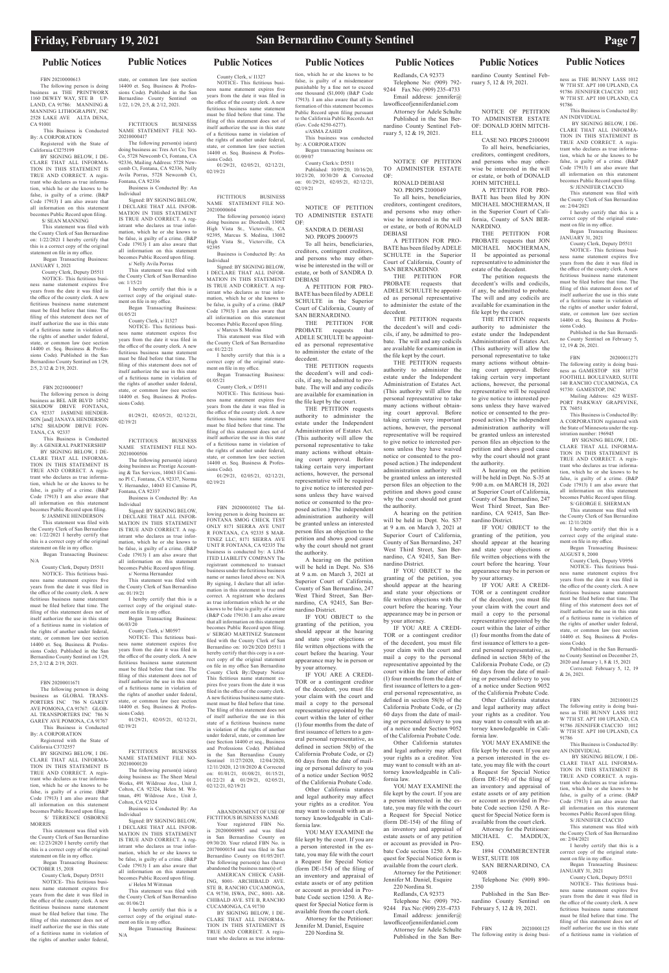### **Public Notices Public Notices Public Notices Public Notices Public Notices Public Notices Public Notices**

FBN 20210000613

The following person is doing business as THE PRINTWORX 1160 DEWEY WAY, STE B UP-LAND, CA 91786: MANNING & MANNING LITHOGRAPHY, INC 2528 LAKE AVE ALTA DENA, CA 91001

 This Business is Conducted By: A CORPORATION Registered with the State of

California CI275199

BY SIGNING BELOW, I DE-CLARE THAT ALL INFORMA-TION IN THIS STATEMENT IS TRUE AND CORRECT. A registrant who declares as true information, which he or she knows to be false, is guilty of a crime. (B&P Code 17913) I am also aware that all information on this statement becomes Public Record upon filing. S/ SEAN MANNING

### This statement was filed with

the County Clerk of San Bernardino on: 1/22/2021 I hereby certify that this is a correct copy of the original statement on file in my office. Began Transacting Business:

JANUARY 1, 2021

 County Clerk, Deputy D5511 NOTICE- This fictitious busi-

ness name statement expires five years from the date it was filed in the office of the county clerk. A new fictitious business name statement must be filed before that time. The filing of this statement does not of itself authorize the use in this state of a fictitious name in violation of the rights of another under federal, state, or common law (see section 14400 et. Seq. Business & Professions Code). Published in the San Bernardino County Sentinel on 1/29, 2/5, 2/12 & 2/19, 2021.

FBN 20210000017

By: A CORPORATION Registered with the State of California C3732557

The following person is doing business as BEL AIR BLVD 14762 SHADOW DRIVE FONTANA, CA 92337 JASMINE HENDER-SON [and] JANAYA HENDERSON 14762 SHADOW DRIVE FON-TANA, CA 92337

 This Business is Conducted By: A GENERAL PARTNERSHIP BY SIGNING BELOW, I DE-CLARE THAT ALL INFORMA-TION IN THIS STATEMENT IS TRUE AND CORRECT. A registrant who declares as true information, which he or she knows to be false, is guilty of a crime. (B&P

ness name statement expires five years from the date it was filed in the office of the county clerk. A new fictitious business name statement must be filed before that time. The filing of this statement does not of itself authorize the use in this state of a fictitious name in violation of the rights of another under federal,

Code 17913) I am also aware that all information on this statement becomes Public Record upon filing. S/ JASMINE HENDERSON This statement was filed with the County Clerk of San Bernardino on: 1/22/2021 I hereby certify that

this is a correct copy of the original statement on file in my office. Began Transacting Business: N/A

 County Clerk, Deputy D5511 NOTICE- This fictitious busi-

Signed: BY SIGNING BELOW, I DECLARE THAT ALL INFOR-MATION IN THIS STATEMENT IS TRUE AND CORRECT. A registrant who declares as true information, which he or she knows to be false, is guilty of a crime. (B&P Code 17913) I am also aware that all information on this statement becomes Public Record upon filing. s/ Nelly Avila Porras

ness name statement expires five years from the date it was filed in the office of the county clerk. A new fictitious business name statement must be filed before that time. The filing of this statement does not of itself authorize the use in this state of a fictitious name in violation of the rights of another under federal, state, or common law (see section 14400 et. Seq. Business & Professions Code). Published in the San Bernardino County Sentinel on 1/29, 2/5, 2/12 & 2/19, 2021.

### FBN 20200011671

The following person is doing business as GLOBAL TRANS-PORTERS INC 786 N GAREY AVE POMONA, CA 91767: GLOB-AL TRANSPORTERS INC 786 N GAREY AVE POMONA, CA 91767 This Business is Conducted

BY SIGNING BELOW, I DE-CLARE THAT ALL INFORMA-

TION IN THIS STATEMENT IS TRUE AND CORRECT. A registrant who declares as true information, which he or she knows to b false, is guilty of a crime. (B&P Code 17913) I am also aware that all information on this statement becomes Public Record upon filing.

 S/ TERRENCE OSBORNE MORRIS

 This statement was filed with the County Clerk of San Bernardino on: 12/23/2020 I hereby certify that this is a correct copy of the original statement on file in my office.

istrant who declares as true information, which he or she knows to be false, is guilty of a crime. (B&P Code 17913) I am also aware that all information on this statement becomes Public Record upon filing. s/Helen M Wittman

 Began Transacting Business: OCTOBER 15, 2018

 County Clerk, Deputy D5511 NOTICE- This fictitious busi-

# state, or common law (see section

14400 et. Seq. Business & Professions Code). Published in the San Bernardino County Sentinel on 1/22, 1/29, 2/5, & 2/12, 2021.

> 92395 Business is Conducted By: An Individual Signed: BY SIGNING BELOW,

FICTITIOUS BUSINESS NAME STATEMENT FILE NO-20210000417

The following person(s) is(are) ng business as: Tres Art Co; Tres Co, 5728 Newcomb Ct, Fontana, CA 92336, Mailing Address: 5728 Newcomb Ct, Fontana, CA 92336, Nelly Avila Porras, 5728 Newcomb Ct, Fontana, CA 92336

> s/ Marcus S. Medina This statement was filed with the County Clerk of San Bernardino on:  $01/22/21$

Business is Conducted By: An Individual

> ness name statement expires five years from the date it was filed in the office of the county clerk. A new fictitious business name statement must be filed before that time. The filing of this statement does not of itself authorize the use in this state of a fictitious name in violation of the rights of another under federal. state, or common law (see section 14400 et. Seq. Business & Professions Code).  $01/29/21$ ,  $02/05/21$ ,  $02/12/21$

This statement was filed with County Clerk of San Bernardino on: 1/15/21

I hereby certify that this is a correct copy of the original state-ment on file in my office.

Began Transacting Business: 01/05/21 County Clerk, s/ I1327

NOTICE- This fictitious business name statement expires five years from the date it was filed in the office of the county clerk. A new fictitious business name statement must be filed before that time. The filing of this statement does not of itself authorize the use in this state of a fictitious name in violation of

sions Code).

02/19/21

01/29/21, 02/05/21, 02/12/21, FICTITIOUS BUSINESS NAME STATEMENT FILE NO-

> Your registered FBN No. is 20200008985 and was filed in San Bernardino County on 09/30/20. Your related FBN No. is 20170000154 and was filed in San Bernardino County on 01/05/2017. The following person(s) has (have) abandoned the business name(s) of: AMERICAN CHECK CASH-ING, 8001- ARCHIBALD AVE. STE B, RANCHO CUCAMONGA, CA 91730, ISWA, INC., 8001- AR-CHIBALD AVE. STE B, RANCHO CUCAMONGA, CA 91730 BY SIGNING BELOW, I DE-CLARE THAT ALL INFORMA-TION IN THIS STATEMENT IS TRUE AND CORRECT. A registrant who declares as true informa-

Business is Conducted By: An

Individual Signed: BY SIGNING BELOW, I DECLARE THAT ALL INFOR-MATION IN THIS STATEMENT IS TRUE AND CORRECT. A registrant who declares as true information, which he or she knows to be false, is guilty of a crime. (B&P Code 17913) I am also aware that all information on this statement becomes Public Record upon filing. s/ Norma Hernandez

This statement was filed with the County Clerk of San Bernardino on: 01/19/21 I hereby certify that this is a

correct copy of the original statement on file in my office. Began Transacting Business:

06/03/20 County Clerk, s/ M0597

NOTICE- This fictitious business name statement expires five years from the date it was filed in the office of the county clerk. A new fictitious business name statement must be filed before that time. The filing of this statement does not of itself authorize the use in this state of a fictitious name in violation of the rights of another under federal, state, or common law (see section 14400 et. Seq. Business & Professions Code).

01/29/21, 02/05/21, 02/12/21, 02/19/21

FICTITIOUS BUSINESS NAME STATEMENT FILE NO-20210000120

The following person(s) is(are) doing business as: The Sheet Metal Works, 491 Wildrose Ave., Unit J, Colton, CA 92324, Helen M. Wittman, 491 Wildrose Ave., Unit J, Colton, CA 92324

Business is Conducted By: An Individual

the rights of another under federal, state, or common law (see section 14400 et. Seq. Business & Profes-01/05/21

Signed: BY SIGNING BELOW, I DECLARE THAT ALL INFOR-MATION IN THIS STATEMENT IS TRUE AND CORRECT. A reg-

YOU MAY EXAMINE the file kept by the court. If you are a person interested in the estate, you may file with the court a Request for Special Notice (form DE-154) of the filing of an inventory and appraisal of estate assets or of any petition or account as provided in Probate Code section 1250. A Request for Special Notice form is available from the court clerk. Attorney for the Petitioner: Jennifer M. Daniel, Esquire 220 Nordina St.

This statement was filed with the County Clerk of San Bernardino on: 01/06/21

20210000506 The following person(s) is(are) doing business as: Prestige Accounting & Tax Services, 14043 El Camino Pl C, Fontana, CA 92337, Norma Y. Hernandez, 14043 El Camino Pl, Fontana, CA 92337 02/19/21

I hereby certify that this is a correct copy of the original statement on file in my office. Began Transacting Business:

N/A

THE PETITION FOR<br>OBATE requests that PROBATE requests ADELE SCHULTE be appointed as personal representative to administer the estate of the decedent.

County Clerk, s/ I1327 NOTICE- This fictitious business name statement expires five years from the date it was filed in the office of the county clerk. A new fictitious business name statement must be filed before that time. The filing of this statement does not of itself authorize the use in this state of a fictitious name in violation of

> THE PETITION requests the decedent's will and codicils, if any, be admitted to probate. The will and any codicils are available for examination in the file kept by the court.

the rights of another under federal, state, or common law (see section 14400 et. Seq. Business & Professions Code). 01/29/21, 02/05/21, 02/12/21, 02/19/21

> FICTITIOUS BUSINESS NAME STATEMENT FILE NO-20210000604

> > THE PETITION requests authority to administer the estate under the Independent Administration of Estates Act. (This authority will allow the personal representative to take many actions without obtaining court approval. Before taking certain very important actions, however, the personal representative will be required to give notice to interested persons unless they have waived notice or consented to the proposed action.) The independent administration authority will be granted unless an interested person files an objection to the petition and shows good cause why the court should not grant the authority.

The following person(s) is(are) doing business as: Diordash, 13002 High Vista St., Victorville, CA 92395, Marcus S. Medina, 13002 High Vista St., Victorville, CA

I DECLARE THAT ALL INFOR-MATION IN THIS STATEMENT IS TRUE AND CORRECT. A registrant who declares as true information, which he or she knows to be false, is guilty of a crime. (B&P Code 17913) I am also aware that all information on this statement becomes Public Record upon filing.

I hereby certify that this is a correct copy of the original statement on file in my office.

Began Transacting Business: County Clerk, s/ D5511 NOTICE- This fictitious busi-

FBN 20200010102 The fol-

THE PETITION requests authority to administer the estate under the Independent Administration of Estates Act. (This authority will allow the personal representative to take many actions without obtaining court approval. Before taking certain very important actions, however, the personal representative will be required to give notice to interested persons unless they have waived notice or consented to the proposed action.) The independent administration authority will be granted unless an interested person files an objection to the petition and shows good cause why the court should not grant

lowing person is doing business as: FONTANA SMOG CHECK TEST ONLY 8171 SIERRA AVE UNIT R FONTANA, CA 92335 S MAR-TINEZ LLC, 8171 SIERRA AVE UNIT R FONTANA, CA 92335 The business is conducted by: A LIM-ITED LIABILITY COMPANY The registrant commenced to transact business under the fictitious business name or names listed above on: N/A By signing, I declare that all information in this statement is true and correct. A registrant who declares as true information which he or she knows to be false is guilty of a crime (B&P Code 179130. I am also aware that all information on this statement becomes Public Record upon filing. s/ SERGIO MARTINEZ Statement filed with the County Clerk of San Bernardino on: 10/28/2020 D5511 I hereby certify that this copy is a correct copy of the original statement on file in my office San Bernardino County Clerk By:/Deputy Notice This fictitious name statement expires five years from the date it was filed in the office of the county clerk. A new fictitious business name statement must be filed before that time.

The filing of this statement does not of itself authorize the use in this state of a fictitious business name in violation of the rights of another under federal, state, or common law (see Section 14400 et seq., Business and Professions Code). Published in the San Bernardino County

This Business is Conducted By: AN INDIVIDUAL BY SIGNING BELOW I DE-

Sentinel 11/27/2020, 12/04/2020, 12/11/2020, 12/18/2020 & Corrected on: 01/01/21, 01/08/21, 01/15/21, 01/22/21 & 01/29/21, 02/05/21, 02/12/21, 02/19/21

ABANDONMENT OF USE OF FICTITIOUS BUSINESS NAME

County Clerk, Deputy V0956 NOTICE- This fictitious business name statement expires five years from the date it was filed in the office of the county clerk. A new fictitious business name statement must be filed before that time. The filing of this statement does not of

tion, which he or she knows to be false, is guilty of a misdemeanor punishable by a fine not to exceed one thousand (\$1,000) (B&P Code 17913). I am also aware that all information of this statement becomes Public Record upon filing pursuant to the California Public Records Act (Gov. Code 6250-6277). s/ASMA ZAHID This business was conducted

by: A CORPORATION

01/09/07

Began transacting business on:

County Clerk/s: D5511 Published: 10/09/20, 10/16/20, 10/23/20, 10/30/20 & Corrected on: 01/29/21, 02/05/21, 02/12/21,

02/19/21

NOTICE OF PETITION TO ADMINISTER ESTATE

OF:

SANDRA D. DEBIASI NO. PROPS 2000975 To all heirs, beneficiaries, creditors, contingent creditors, and persons who may otherwise be interested in the will or estate, or both of SANDRA D.

DEBIASI

A PETITION FOR PRO-BATE has been filed by ADELE SCHULTE in the Superior Court of California, County of SAN BERNARDINO. THE PETITION FOR<br>PROBATE requests that requests ADELE SCHULTE be appointed as personal representative to administer the estate of the

decedent.

THE PETITION requests the decedent's will and codicils, if any, be admitted to probate. The will and any codicils are available for examination in the file kept by the court. THE PETITION requests authority to administer the estate under the Independent Administration of Estates Act. (This authority will allow the personal representative to take many actions without obtaining court approval. Before taking certain very important actions, however, the personal representative will be required to give notice to interested persons unless they have waived notice or consented to the proposed action.) The independent administration authority will be granted unless an interested person files an objection to the petition and shows good cause why the court should not grant

the authority.

A hearing on the petition will be held in Dept. No. S36 at 9 a.m. on March 3, 2021 at Superior Court of California, County of San Bernardino, 247 West Third Street, San Bernardino, CA 92415, San Ber-

nardino District.

IF YOU OBJECT to the granting of the petition, you should appear at the hearing and state your objections or file written objections with the court before the hearing. Your appearance may be in person or

by your attorney.

IF YOU ARE A CREDI-TOR or a contingent creditor of the decedent, you must file your claim with the court and mail a copy to the personal representative appointed by the court within the later of either (1) four months from the date of first issuance of letters to a general personal representative, as defined in section 58(b) of the California Probate Code, or (2)

60 days from the date of mailing or personal delivery to you of a notice under Section 9052 of the California Probate Code.

Other California statutes and legal authority may affect your rights as a creditor. You may want to consult with an attorney knowledgeable in California law.

Redlands, CA 92373 Telephone No: (909) 792- 9244 Fax No: (909) 235-4733 Email address: jennifer@

lawofficeofjenniferdaniel.com Attorney for Adele Schulte Published in the San Ber-

nardino County Sentinel February 5, 12 & 19, 2021.

NOTICE OF PETITION TO ADMINISTER ESTATE OF:

> RONALD DEBIASI NO. PROPS 2100049

To all heirs, beneficiaries, creditors, contingent creditors, and persons who may otherwise be interested in the will or estate, or both of RONALD DEBIASI

A PETITION FOR PRO-BATE has been filed by ADELE SCHULTE in the Superior Court of California, County of SAN BERNARDINO.

A hearing on the petition will be held in Dept. No. S37 at 9 a.m. on March 3, 2021 at Superior Court of California, County of San Bernardino, 247 West Third Street, San Bernardino, CA 92415, San Bernardino District.

IF YOU OBJECT to the granting of the petition, you should appear at the hearing and state your objections or file written objections with the court before the hearing. Your appearance may be in person or by your attorney.

IF YOU ARE A CREDI-TOR or a contingent creditor of the decedent, you must file your claim with the court and mail a copy to the personal representative appointed by the court within the later of either (1) four months from the date of first issuance of letters to a general personal representative, as defined in section 58(b) of the California Probate Code, or (2) 60 days from the date of mailing or personal delivery to you of a notice under Section 9052 of the California Probate Code.

Other California statutes and legal authority may affect your rights as a creditor. You

may want to consult with an attorney knowledgeable in California law.

YOU MAY EXAMINE the file kept by the court. If you are a person interested in the estate, you may file with the court a Request for Special Notice (form DE-154) of the filing of an inventory and appraisal of estate assets or of any petition or account as provided in Probate Code section 1250. A Request for Special Notice form is available from the court clerk. Attorney for the Petitioner: Jennifer M. Daniel, Esquire 220 Nordina St. Redlands, CA 92373 Telephone No: (909) 792- 9244 Fax No: (909) 235-4733 Email address: jennifer@ lawofficeofjenniferdaniel.com Attorney for Adele Schulte Published in the San Ber-

nardino County Sentinel February 5, 12 & 19, 2021. NOTICE OF PETITION

TO ADMINISTER ESTATE OF: DONALD JOHN MITCH-ELL

CASE NO. PROPS 2100091 To all heirs, beneficiaries, creditors, contingent creditors, and persons who may otherwise be interested in the will or estate, or both of DONALD JOHN MITCHELL

A PETITION FOR PRO-BATE has been filed by JON MICHAEL MOCHERMAN, II in the Superior Court of California, County of SAN BER-NARDINO.

THE PETITION FOR PROBATE requests that JON MICHAEL MOCHERMAN, II be appointed as personal representative to administer the estate of the decedent.

The petition requests the decedent's wills and codicils, if any, be admitted to probate. The will and any codicils are available for examination in the file kept by the court.

the authority. A hearing on the petition will be held in Dept. No. S-35 at 9:00 a.m. on MARCH 18, 2021 at Superior Court of California, County of San Bernardino, 247 West Third Street, San Bernardino, CA 92415, San Ber-

nardino District. IF YOU OBJECT to the granting of the petition, you should appear at the hearing and state your objections or file written objections with the court before the hearing. Your

appearance may be in person or by your attorney. IF YOU ARE A CREDI-

TOR or a contingent creditor of the decedent, you must file your claim with the court and mail a copy to the personal representative appointed by the court within the later of either (1) four months from the date of first issuance of letters to a general personal representative, as defined in section 58(b) of the California Probate Code, or (2) 60 days from the date of mailing or personal delivery to you of a notice under Section 9052

of the California Probate Code. Other California statutes and legal authority may affect your rights as a creditor. You may want to consult with an attorney knowledgeable in California law. YOU MAY EXAMINE the

a person interested in the estate, you may file with the court a Request for Special Notice (form DE-154) of the filing of an inventory and appraisal of estate assets or of any petition or account as provided in Probate Code section 1250. A Request for Special Notice form is available from the court clerk. Attorney for the Petitioner: MICHAEL C. MADDUX, ESQ.

1894 COMMERCENTER WEST, SUITE 108 SAN BERNARDINO, CA 92408

Telephone No: (909) 890- 2350

Published in the San Bernardino County Sentinel on February 5, 12 & 19, 2021.

### FBN 20210001125

The following entity is doing busi-

ness as THE BUNNY LASS 1012 W 7TH ST. APT 100 UPLAND, CA. 91786 JENNIFER CIACCIO 1012 W 7TH ST. APT 100 UPLAND, CA 91786

CLARE THAT ALL INFORMA-TION IN THIS STATEMENT IS TRUE AND CORRECT. A registrant who declares as true information, which he or she knows to be false, is guilty of a crime. (B&P Code 17913) I am also aware that all information on this statement becomes Public Record upon filing.

S/ JENNIFER CIACCIO This statement was filed with the County Clerk of San Bernardino on: 2/04/2021

I hereby certify that this is a correct copy of the original statement on file in my office.

Began Transacting Business:

JANUARY 31, 2021

County Clerk, Deputy D5511 NOTICE- This fictitious business name statement expires five years from the date it was filed in the office of the county clerk. A new fictitious business name statement must be filed before that time. The filing of this statement does not of itself authorize the use in this state of a fictitious name in violation of the rights of another under federal, state, or common law (see section 14400 et. Seq. Business & Profes-

file kept by the court. If you are 91786 AN INDIVIDUAL

sions Code).

Published in the San Bernardino County Sentinel on February 5,

12, 19 & 26, 2021.

FBN 20200011271 The following entity is doing business as GAMESTOP 818 10730 ness as GAMESTOP 818 FOOTHILL BOULEVARD, SUITE 140 RANCHO CUCAMONGA, CA 91730: GAMESTOP, INC Mailing Address: 625 WEST-PORT PARKWAY GRAPEVINE,

TX 76051

This Business is Conducted By: A CORPORATION registered with the State of Minnesota under the registration number: 196945

 BY SIGNING BELOW, I DE-CLARE THAT ALL INFORMA-TION IN THIS STATEMENT IS TRUE AND CORRECT. A registrant who declares as true information, which he or she knows to be false, is guilty of a crime. (B&P Code 17913) I am also aware that all information on this statement becomes Public Record upon filing. S/ GEORGE E. SHERMAN This statement was filed with the County Clerk of San Bernardino

on: 12/11/2020

I hereby certify that this is a correct copy of the original statement on file in my office.

Began Transacting Business:

AUGUST 8, 2000

itself authorize the use in this state of a fictitious name in violation of the rights of another under federal,

state, or common law (see section 14400 et. Seq. Business & Professions Code). Published in the San Bernardi-

no County Sentinel on December 25, 2020 and January 1, 8 & 15, 2021 Corrected: February 5, 12, 19 & 26, 2021.

FBN 20210001125 The following entity is doing business as THE BUNNY LASS 1012 W 7TH ST. APT 100 UPLAND, CA. 91786 JENNIFER CIACCIO 1012 W 7TH ST. APT 100 UPLAND, CA

This Business is Conducted By:

 BY SIGNING BELOW, I DE-CLARE THAT ALL INFORMA-TION IN THIS STATEMENT IS TRUE AND CORRECT. A registrant who declares as true information, which he or she knows to be false, is guilty of a crime. (B&P Code 17913) I am also aware that all information on this statement becomes Public Record upon filing.

S/ JENNIFER CIACCIO

This statement was filed with the County Clerk of San Bernardino on: 2/04/2021

I hereby certify that this is a correct copy of the original statement on file in my office.

Began Transacting Business: JANUARY 31, 2021

County Clerk, Deputy D5511 NOTICE- This fictitious busi-

ness name statement expires five years from the date it was filed in the office of the county clerk. A new fictitious business name statement must be filed before that time. The filing of this statement does not of itself authorize the use in this state of a fictitious name in violation of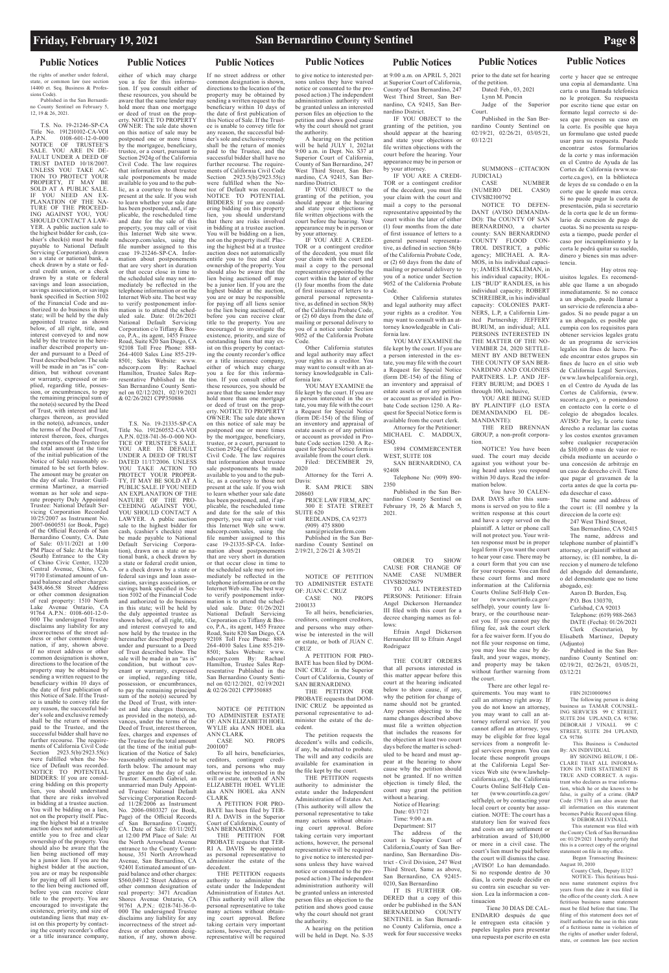## **Public Notices Public Notices Public Notices Public Notices Public Notices Public Notices Public Notices**

the rights of another under federal, state, or common law (see section 14400 et. Seq. Business & Professions Code).

Published in the San Bernardino County Sentinel on February 5, 12, 19 & 26, 2021.

T.S. No. 19-21246-SP-CA Title No. 191210102-CA-VOI A.P.N. 0108-601-12-0-000 NOTICE OF TRUSTEE'S SALE. YOU ARE IN DE-FAULT UNDER A DEED OF TRUST DATED 10/18/2007. UNLESS YOU TAKE AC-TION TO PROTECT YOUR PROPERTY, IT MAY BE SOLD AT A PUBLIC SALE. IF YOU NEED AN EX-PLANATION OF THE NA-TURE OF THE PROCEED-ING AGAINST YOU, YOU SHOULD CONTACT A LAW-YER. A public auction sale to the highest bidder for cash, (cashier's check(s) must be made payable to National Default Servicing Corporation), drawn on a state or national bank, a check drawn by a state or federal credit union, or a check drawn by a state or federal savings and loan association, savings association, or savings bank specified in Section 5102 of the Financial Code and authorized to do business in this state; will be held by the duly appointed trustee as shown below, of all right, title, and interest conveyed to and now held by the trustee in the hereinafter described property under and pursuant to a Deed of Trust described below. The sale will be made in an "as is" condition, but without covenant or warranty, expressed or implied, regarding title, possession, or encumbrances, to pay the remaining principal sum of the note(s) secured by the Deed of Trust, with interest and late charges thereon, as provided in the note(s), advances, under the terms of the Deed of Trust, interest thereon, fees, charges and expenses of the Trustee for the total amount (at the time of the initial publication of the Notice of Sale) reasonably estimated to be set forth below. The amount may be greater on the day of sale. Trustor: Guillermina Martinez, a married woman as her sole and separate property Duly Appointed Trustee: National Default Servicing Corporation Recorded 10/25/2007 as Instrument No. 2007-0600551 (or Book, Page) of the Official Records of San Bernardino County, CA. Date of Sale: 03/11/2021 at 1:00 PM Place of Sale: At the Main (South) Entrance to the City of Chino Civic Center, 13220 Central Avenue, Chino, CA. 91710 Estimated amount of unpaid balance and other charges: \$438,466.58 Street Address or other common designation of real property: 1510 North Lake Avenue Ontario, CA 91764 A.P.N.: 0108-601-12-0- 000 The undersigned Trustee disclaims any liability for any incorrectness of the street address or other common designation, if any, shown above. If no street address or other common designation is shown, directions to the location of the property may be obtained by sending a written request to the beneficiary within 10 days of the date of first publication of this Notice of Sale. If the Trustee is unable to convey title for any reason, the successful bidder's sole and exclusive remedy shall be the return of monies paid to the Trustee, and the successful bidder shall have no further recourse. The requirements of California Civil Code Section 2923.5(b)/2923.55(c) re fulfilled when the  $N$ tice of Default was recorded. NOTICE TO POTENTIAL BIDDERS: If you are considering bidding on this property lien, you should understand that there are risks involved in bidding at a trustee auction. You will be bidding on a lien, not on the property itself. Placing the highest bid at a trustee auction does not automatically entitle you to free and clear ownership of the property. You should also be aware that the lien being auctioned off may be a junior lien. If you are the highest bidder at the auction, you are or may be responsible for paying off all liens senior to the lien being auctioned off, before you can receive clear title to the property. You are encouraged to investigate the existence, priority, and size of outstanding liens that may exist on this property by contacting the county recorder's office or a title insurance company,

ly estimated to be set forth below. The amount may be greater on the day of sale Trustor: Kenneth Gabriel, an unmarried man Duly Appointed Trustee: National Default Servicing Corporation Recorded 11/28/2006 as Instrument No. 2006-0803327 (or Book, Page) of the Official Records San Bernardino County, CA. Date of Sale: 03/11/2021 at 12:00 PM Place of Sale: At the North Arrowhead Avenue entrance to the County Courthouse, 351 North Arrowhead Avenue, San Bernardino, CA 92401 Estimated amount of unpaid balance and other charges: \$560,049.12 Street Address or other common designation of real property: 3471 Arcadian Shores Avenue Ontario, CA 91761 A.P.N.: 0218-741-36-0- 000 The undersigned Trustee disclaims any liability for any incorrectness of the street address or other common designation, if any, shown above.

either of which may charge you a fee for this information. If you consult either of these resources, you should be aware that the same lender may hold more than one mortgage or deed of trust on the prop-erty. NOTICE TO PROPERTY OWNER: The sale date shown on this notice of sale may be postponed one or more times by the mortgagee, beneficiary, trustee, or a court, pursuant to Section 2924g of the California Civil Code. The law requires that information about trustee sale postponements be made available to you and to the public, as a courtesy to those not present at the sale. If you wish to learn whether your sale date has been postponed, and, if applicable, the rescheduled time and date for the sale of this property, you may call or visit this Internet Web site www. ndscorp.com/sales, using the file number assigned to this case 19-21246-SP-CA. Information about postponements that are very short in duration or that occur close in time to the scheduled sale may not immediately be reflected in the telephone information or on the Internet Web site. The best way to verify postponement information is to attend the sched-uled sale. Date: 01/26/2021 National Default Servicing Corporation c/o Tiffany & Bosco, P.A., its agent, 1455 Frazee Road, Suite 820 San Diego, CA 92108 Toll Free Phone: 888- 264-4010 Sales Line 855-219- 8501; Sales Website: www.<br>ndscorp.com By: Rachael ndscorp.com By: Hamilton, Trustee Sales Representative Published in the San Bernardino County Sentinel on 02/12/2021, 02/19/2021 & 02/26/2021 CPP350886

> creditors, contingent tors, and persons who may otherwise be interested in the will or estate, or both of ANN ELIZABETH HOEL WYLIE aka ANN HOEL aka ANN CLARK A PETITION FOR PRO-

BATE has been filed by TER-RI A. DAVIS in the Superior Court of California, County of<br>SAN BERNARDINO.

CASE NO. PROPS

T.S. No. 19-21335-SP-CA Title No. 191260552-CA-VOI A.P.N. 0218-741-36-0-000 NO-TICE OF TRUSTEE'S SALE. YOU ARE IN DEFAULT UNDER A DEED OF TRUST DATED 11/17/2006. UNLESS<br>YOU TAKE ACTION TO TAKE ACTION TO PROTECT YOUR PROPER-TY, IT MAY BE SOLD AT A PUBLIC SALE. IF YOU NEED AN EXPLANATION OF THE NATURE OF THE PRO-CEEDING AGAINST YOU, YOU SHOULD CONTACT A LAWYER. A public auction sale to the highest bidder for cash, (cashier's check(s) must be made payable to National Default Servicing Corporation), drawn on a state or national bank, a check drawn by a state or federal credit union, or a check drawn by a state or federal savings and loan association, savings association, or savings bank specified in Sec-tion 5102 of the Financial Code and authorized to do business in this state; will be held by the duly appointed trustee as shown below, of all right, title, and interest conveyed to and now held by the trustee in the hereinafter described property under and pursuant to a Deed of Trust described below. The sale will be made in an "as is" condition, but without covenant or warranty, expressed or implied, regarding title, possession, or encumbrances, to pay the remaining principal sum of the note(s) secured by the Deed of Trust, with interest and late charges thereon, as provided in the note(s), advances, under the terms of the Deed of Trust, interest thereon, fees, charges and expenses of the Trustee for the total amount (at the time of the initial publication of the Notice of Sale)

R. SAM PRICE SBN 208603 PRICE LAW FIRM, APC

# If no street address or other

YOU MAY EXAMINE the file kept by the court. If you are a person interested in the estate, you may file with the court a Request for Special Notice (form DE-154) of the filing of an inventory and appraisal of estate assets or of any petition or account as provided in Probate Code section 1250. A Request for Special Notice form is available from the court clerk.

Court. Published in the San Bernardino County Sentinel on 02/19/21, 02/26/21, 03/05/21,

CASE NUMBER<br>(NUMERO DEL CASO) DEL CASO) CIVSB2100792

common designation is shown, directions to the location of the property may be obtained by sending a written request to the beneficiary within 10 days of the date of first publication of this Notice of Sale. If the Trustee is unable to convey title for any reason, the successful bidder's sole and exclusive remedy shall be the return of monies paid to the Trustee, and the successful bidder shall have no further recourse. The requirements of California Civil Code Section 2923.5(b)/2923.55(c) were fulfilled when the Notice of Default was recorded. NOTICE TO POTENTIAL BIDDERS: If you are considering bidding on this property lien, you should understand that there are risks involved in bidding at a trustee auction. You will be bidding on a lien, not on the property itself. Placing the highest bid at a trustee auction does not automatically entitle you to free and clear ownership of the property. You should also be aware that the lien being auctioned off may be a junior lien. If you are the highest bidder at the auction, you are or may be responsible for paying off all liens senior to the lien being auctioned off, before you can receive clear title to the property. You are encouraged to investigate the existence, priority, and size of outstanding liens that may exist on this property by contacting the county recorder's office or a title insurance company, either of which may charge you a fee for this information. If you consult either of these resources, you should be aware that the same lender may hold more than one mortgage or deed of trust on the property. NOTICE TO PROPERTY OWNER: The sale date shown on this notice of sale may be postponed one or more times by the mortgagee, beneficiary, trustee, or a court, pursuant to Section 2924g of the California Civil Code. The law requires that information about trustee sale postponements be made available to you and to the public, as a courtesy to those not present at the sale. If you wish to learn whether your sale date has been postponed, and, if applicable, the rescheduled time and date for the sale of this property, you may call or visit this Internet Web site www. ndscorp.com/sales, using the file number assigned to this case 19-21335-SP-CA. Information about postponements that are very short in duration or that occur close in time to the scheduled sale may not immediately be reflected in the telephone information or on the Internet Web site. The best way

National Default Servicing Corporation c/o Tiffany & Bosco, P.A., its agent, 1455 Frazee Road, Suite 820 San Diego, CA 92108 Toll Free Phone: 888- 264-4010 Sales Line 855-219- 8501; Sales Website: www.<br>ndscorp.com By: Rachael ndscorp.com By: Rachael Hamilton, Trustee Sales Representative Published in the San Bernardino County Sentinel on 02/12/2021, 02/19/2021 & 02/26/2021 CPP350885

NOTICE OF PETITION TO ADMINISTER ESTATE OF: ANN ELIZABETH HOEL WYLIE aka ANN HOEL aka

ANN CLARK

2001007

To all heirs, beneficiaries,

SAN BERNARDINO. THE PETITION FOR PROBATE requests that TER-RI A. DAVIS be appointed as personal representative to administer the estate of the decedent.

THE PETITION requests authority to administer the estate under the Independent Administration of Estates Act. (This authority will allow the personal representative to take many actions without obtaining court approval. Before taking certain very important actions, however, the personal representative will be required

The following person is doing business as TAMAR COUNSEL-ING SERVICES 99 C STREET, SUITE 204 UPLAND, CA 91786: DEBORAH J VINALL STREET, SUITE 204 UPLAND CA 91786

to give notice to interested persons unless they have waived notice or consented to the proposed action.) The independent administration authority will be granted unless an interested person files an objection to the

petition and shows good cause

to verify postponement information is to attend the scheduled sale. Date: 01/26/2021 OF: JUAN C. CRUZ CASE NO. PROPS 2100133

why the court should not grant the authority. A hearing on the petition will be held JULY 1, 2021at 9:00 a.m. in Dept. No. S37 at Superior Court of California, County of San Bernardino, 247 West Third Street, San Bernardino, CA 92415, San Bernardino District.

> NOTICE- This fictitious business name statement expires five years from the date it was filed in the office of the county clerk. A new fictitious business name statement must be filed before that time. The filing of this statement does not of itself authorize the use in this state of a fictitious name in violation of the rights of another under federal state, or common law (see section

IF YOU OBJECT to the granting of the petition, you should appear at the hearing and state your objections or file written objections with the court before the hearing. Your appearance may be in person or by your attorney.

IF YOU ARE A CREDI-TOR or a contingent creditor of the decedent, you must file your claim with the court and mail a copy to the personal representative appointed by the court within the later of either (1) four months from the date of first issuance of letters to a general personal representative, as defined in section 58(b) of the California Probate Code, or (2) 60 days from the date of mailing or personal delivery to you of a notice under Section 9052 of the California Probate Code.

Other California statutes and legal authority may affect your rights as a creditor. You may want to consult with an attorney knowledgeable in California law. YOU MAY EXAMINE the

file kept by the court. If you are a person interested in the estate, you may file with the court a Request for Special Notice (form DE-154) of the filing of an inventory and appraisal of estate assets or of any petition or account as provided in Probate Code section 1250. A Request for Special Notice form is available from the court clerk. Filed: DECEMBER 29,

2020 Attorney for the Terri A. Davis:

300 E STATE STREET SUITE 620 REDLANDS, CA 92373

(909) 475 8800 sam@pricelawfirm.com Published in the San Ber-

nardino County Sentinel on 2/19/21, 2/26/21 & 3/05/21

NOTICE OF PETITION TO ADMINISTER ESTATE

To all heirs, beneficiaries, creditors, contingent creditors, and persons who may otherwise be interested in the will or estate, or both of JUAN C. CRUZ

A PETITION FOR PRO-BATE has been filed by DOM-INIC CRUZ in the Superior Court of California, County of SAN BERNARDINO.

THE PETITION FOR PROBATE requests that DOM-INIC CRUZ be appointed as personal representative to administer the estate of the decedent.

The petition requests the decedent's wills and codicils, if any, be admitted to probate. The will and any codicils are

available for examination in the file kept by the court.

THE PETITION requests authority to administer the estate under the Independent Administration of Estates Act. (This authority will allow the personal representative to take many actions without obtaining court approval. Before taking certain very important actions, however, the personal representative will be required to give notice to interested persons unless they have waived notice or consented to the proposed action.) The independent administration authority will be granted unless an interested person files an objection to the petition and shows good cause why the court should not grant the authority.

A hearing on the petition will be held in Dept. No. S-35

at 9:00 a.m. on APRIL 5, 2021 at Superior Court of California, County of San Bernardino, 247 West Third Street, San Bernardino, CA 92415, San Bernardino District.

IF YOU OBJECT to the granting of the petition, you should appear at the hearing and state your objections or file written objections with the court before the hearing. Your appearance may be in person or by your attorney.

IF YOU ARE A CREDI-TOR or a contingent creditor of the decedent, you must file your claim with the court and mail a copy to the personal representative appointed by the court within the later of either (1) four months from the date of first issuance of letters to a general personal representative, as defined in section 58(b) of the California Probate Code, or (2) 60 days from the date of mailing or personal delivery to you of a notice under Section 9052 of the California Probate Code.

Other California statutes and legal authority may affect your rights as a creditor. You may want to consult with an attorney knowledgeable in California law.

Attorney for the Petitioner: MICHAEL C. MADDUX,

ESQ. 1894 COMMERCENTER

WEST, SUITE 108 SAN BERNARDINO, CA 92408

Telephone No: (909) 890- 2350

Published in the San Bernardino County Sentinel on February 19, 26 & March 5, 2021.

## ORDER TO SHOW

CAUSE FOR CHANGE OF NAME CASE NUMBER CIVSB2028679 TO ALL INTERESTED

PERSONS: Petitioner: Efrain Angel Dickerson Hernandez III filed with this court for a decree changing names as follows:

Efrain Angel Dickerson Hernandez III to Efrain Angel Rodriguez

THE COURT ORDERS that all persons interested in this matter appear before this court at the hearing indicated below to show cause, if any, why the petition for change of name should not be granted. Any person objecting to the name changes described above must file a written objection that includes the reasons for the objection at least two court days before the matter is scheduled to be heard and must ap-

pear at the hearing to show cause why the petition should not be granted. If no written objection is timely filed, the court may grant the petition without a hearing. Notice of Hearing:

Date: 03/17/21 Time: 9:00 a.m. Department: S17

The address of the court is Superior Court of California,County of San Bernardino, San Bernardino District - Civil Division, 247 West Third Street, Same as above, San Bernardino, CA 92415- 0210, San Bernardino

IT IS FURTHER OR-DERED that a copy of this order be published in the SAN BERNARDINO COUNTY SENTINEL in San Bernardino County California, once a week for four successive weeks

B1 SIGNING BELOW, I DE TION IN THIS STATEMENT IS TRUE AND CORRECT. A registrant who declares as true information, which he or she knows to be false, is guilty of a crime. (B&P Code 17913) I am also aware that all information on this statement becomes Public Record upon filing.

prior to the date set for hearing of the petition. Dated: Feb., 03, 2021 Lynn M. Poncin Judge of the Superior

03/12/21

### SUMMONS – (CITACION JUDICIAL)

NOTICE TO DEFEN-DANT (AVISO DEMANDA-DO): The COUNTY OF SAN BERNARDINO, a charter county: SAN BERNARDINO COUNTY FLOOD CON-TROL DISTRICT, a public agency; MICHAEL A. RA-MOS, in his individual capacity; JAMES HACKLEMAN, in his individual capacity; HOL-LIS "BUD" RANDLES, in his individual capacity; ROBERT SCHREIBER, in his individual capacity: COLONIES PART-NERS, L.P, a California Limited Partnership; JEFFERY BURUM, an individual; ALL PERSONS INTERESTED IN THE MATTER OF THE NO-VEMBER 24, 2020 SETTLE-MENT BY AND BETWEEN THE COUNTY OF SAN BER-NARDINO AND COLONIES

PARTNERS. L.P. AND JEF-FERY BURUM; and DOES 1 through 100, inclusive YOU ARE BEING SUED BY PLAINTIFF (LO ESTA

DEMANDANDO EL DE-MANDANTE): THE RED BRENNAN GROUP, a non-profit corpora-

tion. NOTICE! You have been sued. The court may decide against you without your being heard unless you respond within 30 days. Read the information below.

 You have 30 CALEN-DAR DAYS after this summons is served on you to file a written response at this court and have a copy served on the plaintiff. A letter or phone call will not protect you. Your written response must be in proper legal form if you want the court to hear your case. There may be a court form that you can use for your response. You can find these court forms and more information at the California Courts Online Self-Help Center (www.courtinfo.ca.gov/ selfhelp), your county law library, or the courthouse nearest you. If you cannot pay the filing fee, ask the court clerk for a fee waiver form. If you do not file your response on time, you may lose the case by default, and your wages, money, and property may be taken without further warning from the court. There are other legal re-

quirements. You may want to call an attorney right away. If you do not know an attorney, you may want to call an attorney referral service. If you cannot afford an attorney, you may be eligible for free legal services from a nonprofit legal services program. You can locate these nonprofit groups at the California Legal Services Web site (www.lawhelpcalifornia.org), the California Courts Online Self-Help Center (www.courtinfo.ca.gov/ selfhelp), or by contacting your local court or county bar association. NOTE: The court has a statutory lien for waived fees and costs on any settlement or arbitration award of \$10,000 or more in a civil case. The court's lien must be paid before the court will dismiss the case. ¡AVISO! Lo han demandado. Si no responde dentro de 30 dias, la corte puede decidir en su contra sin escuchar su version. Lea la informacion a con-

tinuacion

 Tiene 30 DIAS DE CAL-ENDARIO después de que le entreguen esta citación y papeles legales para presentar una repuesta por escrito en esta

corte y hacer que se entreque una copia al demandante. Una carta o una llamada telefonica no le protegen. Su respuesta por escrito tiene que estar on formato legal correcto si desea que procesen su caso en la corte. Es posible que haya un formulano que usted puede usar para su respuesta. Puede encontrar estos formularios de la corte y mas información en el Centro de Ayuda de las Cortes de California (www.sucorte.ca.gov), en la biblioteca de leyes de su condado o en la corte que le quede mas cerca. Si no puede pagar la cuota de presentación, pida si secretario de la corta que le de un formulario de exencion de pago de cuotas. Si no presenta su respuesta a tiempo, puede perder el caso por incumplimiento y la corta le podrá quitar su sueldo, dinero y bienes sin mas advertencia.

 Hay otros requisitos legales. Es recomendable que llame a un abogado inmediatamente. Si no conace a un abogado, puede llamar a un servicio de referencia a abogados. Si no peude pagar a un a un abogado, es posible que cumpia con los requisitos para obtener servicios legales gratu de un programa de servicios legales sin fines de lucro. Puede encontrar estos grupos sin fines de lucro en el sitio web de California Legal Services, (www.lawhelpcalifornia.org), en el Centro de Ayuda de las Cortes de California, (www. sucorte.ca.gov), o poniendoso en contacto con la corte o el colegio de abogados locales. AVISO: Por ley, la corte tiene derecho a reclamar las cuotas y los costos exentos gravamen sobre cualquier recuperación da \$10,000 o mas de vaior recibida mediante un aceurdo o una concesión de arbitraje en un caso de derecho civil. Tiene que pagar el gravamen de la corta antes de que la corta pueda desechar el caso.

The name and address of the court is: (El nombre y la direccion de la corte es):

247 West Third Street,

San Bernardino, CA 92415 The name, address and telephone number of plaintiff's attorney, or plaintiff without an attorney, is: (El nombre, la direccion y el numero de telefono del abogado del demandante, o del demendante que no tiene abogado, es):

Aaron D. Burden, Esq.

P.O. Box 130370, Carlsbad, CA 92013 Telephone: (619) 988-2663 DATE (Fecha): 01/26/2021 Clerk (Secretario), by Elisabeth Martinez, Deputy

(Adjunto) Published in the San Bernardino County Sentinel on: 02/19/21, 02/26/21, 03/05/21,

03/12/21

FBN 20210000965

 This Business is Conducted By: AN INDIVIDUAL

BY SIGNING BELOW, I DE-

S/ DEBORAH J.VINALL

This statement was filed with the County Clerk of San Bernardino on: 01/29/2021 I hereby certify that this is a correct copy of the original statement on file in my office.

 Began Transacting Business: August 10, 2010

County Clerk, Deputy I1327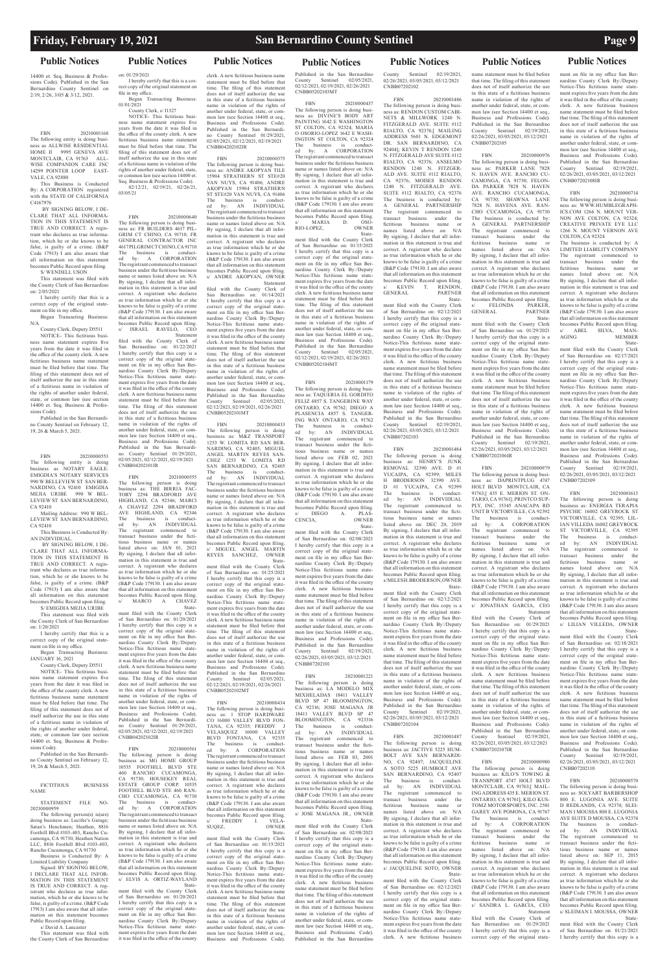14400 et. Seq. Business & Professions Code). Published in the San Bernardino County Sentinel on 2/19, 2/26, 3/05 & 3/12, 2021.

FBN 20210001168 The following entity is doing business as ALLWISE RESIDENTIAL<br>HOME II 9995 GENEVA AVE 9995 GENEVA AVE MONTCLAIR, CA 91763 ALL-WISE COMPANION CARE INC 14299 POINTER LOOP EAST-VALE, CA 92880

This Business is Conducted By: A CORPORATION registered with the STATE OF CALIFORNIA C4167976

 BY SIGNING BELOW, I DE-CLARE THAT ALL INFORMA-TION IN THIS STATEMENT IS TRUE AND CORRECT. A registrant who declares as true information, which he or she knows to be false, is guilty of a crime. (B&P Code 17913) I am also aware that all information on this statement becomes Public Record upon filing. S/ WENDELL USON

This statement was filed with the County Clerk of San Bernardino

on: 2/05/2021 I hereby certify that this is a correct copy of the original state-

ment on file in my office. Began Transacting Business:

N/A County Clerk, Deputy D5511

NOTICE- This fictitious business name statement expires five years from the date it was filed in the office of the county clerk. A new fictitious business name statement must be filed before that time. The filing of this statement does not of itself authorize the use in this state of a fictitious name in violation of the rights of another under federal, state, or common law (see section 14400 et. Seq. Business & Professions Code).

Published in the San Bernardino County Sentinel on February 12, 19, 26 & March 5, 2021.

FBN 20210000553 The following entity is doing business as NOTARY EAGLE: EMIGDIA'S NOTARY SERVICES 990 W BELLEVIEW ST SAN BER-NARDINO, CA 92410 EMIGDIA MEJIA URIBE LEVIEW ST SAN BERNARDINO, CA 92410

Mailing Address: 990 W BEL-LEVIEW ST SAN BERNARDINO, CA 92410

This Business is Conducted By: AN INDIVIDUAL.

 BY SIGNING BELOW, I DE-CLARE THAT ALL INFORMA-TION IN THIS STATEMENT IS TRUE AND CORRECT. A registrant who declares as true information, which he or she knows to be false, is guilty of a crime. (B&P Code 17913) I am also aware that all information on this statement becomes Public Record upon filing. S/ EMIGDIA MEJIA URIBE

This statement was filed with the County Clerk of San Bernardino

on: 1/20/2021 I hereby certify that this is a

correct copy of the original state-ment on file in my office. Began Transacting Business:

JANUARY 16, 2021 County Clerk, Deputy D5511

NOTICE- This fictitious business name statement expires five years from the date it was filed in the office of the county clerk. A new fictitious business name statement must be filed before that time. The filing of this statement does not of itself authorize the use in this state of a fictitious name in violation of the rights of another under federal, state, or common law (see section 14400 et. Seq. Business & Profes-

sions Code). Published in the San Bernardi-

no County Sentinel on February 12, 19, 26 & March 5, 2021.

### FICTITIOUS BUSINESS NAME

### STATEMENT FILE NO-20210000959

The following person(s) is(are) doing business as: Lucifer's Garage Satan's Henchmen; Heathen, 8816<br>Foothill Blvd #103-403 Rancho Cu-Foothill Blvd #103-403, Rancho Cu-camonga, CA 91730, Heathen Nation LLC, 8816 Foothill Blvd #103-403, Rancho Cucamonga, CA 91730

Business is Conducted By: A

Limited Liability Company Signed: BY SIGNING BELOW, I DECLARE THAT ALL INFOR-MATION IN THIS STATEMENT IS TRUE AND CORRECT. A reg-istrant who declares as true information, which he or she knows to be false, is guilty of a crime. (B&P Code 17913) I am also aware that all information on this statement becomes Public Record upon filing.

### s/ David A. Lancaster

This statement was filed with the County Clerk of San Bernardino

## **Public Notices Public Notices Public Notices Public Notices Public Notices Public Notices Public Notices**

on: 01/29/2021 I hereby certify that this is a correct copy of the original statement on file in my office.

Began Transacting Business: 01/01/2021 County Clerk, s/ I1327

NOTICE- This fictitious business name statement expires five years from the date it was filed in the office of the county clerk. A new fictitious business name statement must be filed before that time. The filing of this statement does not of itself authorize the use in this state of a fictitious name in violation of the rights of another under federal, state, or common law (see section 14400 et. Seq. Business & Professions Code). 02/12/21, 02/19/21, 02/26/21,

03/05/21

FBN 20210000640 The following person is doing busi-ness as: FR BUILDERS 4617 PIL-GRIM CT CHINO, CA 91710; FR GENERAL CONTRACTOR INC 4617 PILGRIM CT CHINO, CA 91710 The business is conduct-ed by: A CORPORATION The registrant commenced to transact business under the fictitious business name or names listed above on: N/A By signing, I declare that all information in this statement is true and correct. A registrant who declares as true information which he or she knows to be false is guilty of a crime (B&P Code 179130. I am also aware that all information on this statement becomes Public Record upon filing. s/ ISRAEL RAVELO, CEO

 Statement filed with the County Clerk of San Bernardino on: 01/22/2021 I hereby certify that this copy is a correct copy of the original state-ment on file in my office San Ber-nardino County Clerk By:/Deputy Notice-This fictitious name state-ment expires five years from the date it was filed in the office of the county clerk. A new fictitious business name statement must be filed before that time. The filing of this statement

does not of itself authorize the use in this state of a fictitious business name in violation of the rights of another under federal, state, or common law (see Section 14400 et seq., Business and Professions Code). Published in the San Bernardi-no County Sentinel 01/29/2021, 02/05/2021, 02/12/2021, 02/19/2021 CNBB04202101IR

> FBN 20210000434 The following person is doing busi-ness as: 1 STOP HARDWARE CO 16000 VALLEY BLVD FON-TANA, CA 92335; FREDDY<br>VELASQUEZ 16000 VALL VELASQUEZ 16000 VALLEY BLVD FONTANA, CA 92335 The business is conduct-ed by: A CORPORATION BLVD 1.0...<br>The business is 0.0...<br>ed by: A CORPORATION<br>The registrant commenced to transact<br>Invisions under the fictitious business s under the fictitious busin name or names listed above on: N/A By signing, I declare that all information in this statement is true and correct. A registrant who declares as true information which he or she knows to be false is guilty of a crime (B&P Code 179130. I am also aware that all information on this statement becomes Public Record upon filing. s/ FREDDY J. VELA-SUQEZ, OWNER<br>SUQEZ, OWNER<br>State-

FBN 20210000555 The following person is doing business as: THE BIRRIA FAC-TORY 2294 BRADFORD AVE HIGHLAND, CA 92346; MARCI A CHAVEZ 2294 BRADFORD A CHAVEZ 2294 DINADO ONE<br>AVE HIGHLAND, CA 92346<br>The business is conduct-The business is conduct-ed by: AN INDIVIDUAL The registrant commenced to transact business under the ficti-tious business name or names listed above on: JAN 01, 2021 By signing, I declare that all infor-mation in this statement is true and correct. A registrant who declares as true information which he or she we to be false is guilty of a crime (B&P Code 179130. I am also aware that all information on this statement becomes Public Record upon filing. s/ MARCO A CHAVEZ

 State-ment filed with the County Clerk of San Bernardino on: 01/20/2021 I hereby certify that this copy is a correct copy of the original state-ment on file in my office San Bernardino County Clerk By:/Deputy Notice-This fictitious name state-ment expires five years from the date it was filed in the office of the county clerk. A new fictitious business name statement must be filed before that time. The filing of this statement does not of itself authorize the use in this state of a fictitious business name in violation of the rights of another under federal, state, or common law (see Section 14400 et seq., Business and Professions Code) Published in the San Bernardi-no County Sentinel 01/29/2021, 02/05/2021, 02/12/2021, 02/19/2021 CNBB04202102IR

FBN 20210000561 The following person is doing business as: MG HOME GROUP 10535 FOOTHILL BLVD STE 460 RANCHO CUCAMONGA, CA 91730; HOUSEKEY REAL ESTATE GROUP CORP. 10535 FOOTHILL BLVD STE 460 RAN-CHO CUCAMONGA, CA 91730 The business is conduct-ed by: A CORPORATION The registrant commenced to transact business under the fictitious business name or names listed above on: N/A By signing, I declare that all information in this statement is true and correct. A registrant who declares as true information which he or she knows to be false is guilty of a crime (B&P Code 179130. I am also aware that all information on this statement becomes Public Record upon filing. s/ ELVIS A. ORTIZ-WAYLAND State-

ment filed with the County Clerk of San Bernardino on: 01/20/2021 I hereby certify that this copy is a correct copy of the original state-ment on file in my office San Ber-nardino County Clerk By:/Deputy Notice-This fictitious name state-ment expires five years from the date it was filed in the office of the county

clerk. A new fictitious business name statement must be filed before that time. The filing of this statement does not of itself authorize the use in this state of a fictitious business name in violation of the rights of another under federal, state, or com-mon law (see Section 14400 et seq., Business and Professions Code). Published in the San Bernardino County Sentinel 01/29/2021, 02/05/2021, 02/12/2021, 02/19/2021 CNBB04202102IR

FBN 20210001486 The following person is doing busi-ness as: RENDON CUSTOM CABI-NETS & MILLWORK 1240 N. FITZGERALD AVE. SUITE #112 RIALTO, CA 92376;[ MAILING ADDRESS 5601 N. EDGEMONT DR. SAN BERNARDINO, CA 92404]; KEVIN T RENDON 1240 N. FITZGERALD AVE SUITE #112 RIALTO, CA 92376; ANSELMO RENDON 1240 N. FITZGER-ALD AVE. SUITE #112 RIALTO, CA 92376; MOISES RENDON 1240 N. FITZGERALD AVE. SUITE #112 RIALTO, CA 92376 The business is conducted by: A GENERAL PARTNERSHIP The registrant commenced to<br>transact business under the transact business under fictitious business name or<br>names listed above on: N/A names listed above on: By signing, I declare that all information in this statement is true and correct. A registrant who declares as true information which he or she knows to be false is guilty of a crime (B&P Code 179130. I am also aware that all information on this statement becomes Public Record upon filing. KEVIN T. RENDON,<br>ERAL PARTNER GENERAL

FBN 20210000375 The following person is doing busi-ness as: ANDRE AKOPYAN TILE 15904 STRATHERN ST STE#20 VAN NUYS, CA 91406; ANDRE AKOPYAN 15904 STRATHERN ST STE#20 VAN NUYS, CA 91406 The business is conduct-ed by: AN INDIVIDUAL The registrant commenced to transact business under the fictitious business

name or names listed above on: N/A By signing, I declare that all infor-mation in this statement is true and correct. A registrant who declares as true information which he or she knows to be false is guilty of a crime (B&P Code 179130. I am also aware that all information on this statement becomes Public Record upon filing. s/ ANDRE AKOPYAN, OWNER

 Statement filed with the County Clerk of San Bernardino on: 01/14/2021 I hereby certify that this copy is a correct copy of the original state-ment on file in my office San Bernardino County Clerk By:/Deputy Notice-This fictitious name state-ment expires five years from the date it was filed in the office of the county clerk. A new fictitious business name statement must be filed before that time. The filing of this statement does not of itself authorize the use in this state of a fictitious business name in violation of the rights of another under federal, state, or common law (see Section 14400 et seq., Business and Professions Code). Published in the San Bernardino County Sentinel 02/05/2021,

02/12/2021, 02/19/2021, 02/26/2021 CNBB05202101MT FBN 20210000433 The following person is doing business as: M&Z TRANSPORT 1253 W. LOMITA RD SAN BER-NARDINO, CA 92405; MIGUEL ANGEL MARTIN REYES SAN-

> State-ment filed with the County Clerk of San Bernardino on: 02/12/2021 I hereby certify that this copy is a correct copy of the original statement on file in my office San Bernardino County Clerk By:/Deputy Notice-This fictitious name statement expires five years from the date it was filed in the office of the county clerk. A new fictitious business

CHEZ 1253 W. LOMITA RD SAN BERNARDINO, CA 92405 The business is conducted<br>
ed by: AN INDIVIDUAL<br>
The registrant commenced to transact<br>
business under the fictitious business name or names listed above on: N/A By signing, I declare that all information in this statement is true and correct. A registrant who declares as true information which he or she knows to be false is guilty of a crime (B&P Code 179130. I am also aware that all information on this statement becomes Public Record upon filing.

FBN 20210000976 The following person is doing business as: PARKER LANE 7828 N. HAVEN AVE. RANCHO CU-CAMONGA, CA 91730; FELON-DA PARKER 7828 N. HAVEN AVE. RANCHO CUCAMONGA, CA 91730; SHAWNA LANE 7828 N. HAVENA AVE. RAN-CHO CUCAMONGA, CA 91730 The business is conducted A GENERAL PARTNERSHIP The registrant commenced to transact business under the business name or names listed above on: N/A By signing, I declare that all information in this statement is true and correct. A registrant who declares as true information which he or she knows to be false is guilty of a crime (B&P Code 179130. I am also aware that all information on this statement becomes Public Record upon filing.<br>s/ FELONDA PARKER. FELONDA PARKER,<br>RAL PARTNER

s/ MIGUEL ANGEL MARTIN REYES SANCHEZ, OWNER Statement filed with the County Clerk of San Bernardino on: 01/25/2021 I hereby certify that this copy is a correct copy of the original state-ment on file in my office San Ber-nardino County Clerk By:/Deputy Notice-This fictitious name state-ment expires five years from the date it was filed in the office of the county clerk. A new fictitious business name statement must be filed before that time. The filing of this statement does not of itself authorize the use in this state of a fictitious business name in violation of the rights of another under federal, state, or common law (see Section 14400 et seq., Business and Professions Code). Published in the San Bernardino County Sentinel 02/05/2021, 02/12/2021, 02/19/2021, 02/26/2021

CNBB05202102MT

GENERAL Statement filed with the County Clerk of San Bernardino on: 01/29/2021 I hereby certify that this copy is a correct copy of the original statement on file in my office San Bernardino County Clerk By:/Deputy Notice-This fictitious name statement expires five years from the date it was filed in the office of the county clerk. A new fictitious business name statement must be filed before that time. The filing of this statement does not of itself authorize the use in this state of a fictitious business name in violation of the rights of another under federal, state, or common law (see Section 14400 et seq., Business and Professions Code). Published in the San Bernardino County Sentinel 02/19/2021, 02/26/2021, 03/05/2021, 03/12/2021 CNBB07202106IR

 State-ment filed with the County Clerk of San Bernardino on: 01/15/2021 I hereby certify that this copy is a correct copy of the original state-ment on file in my office San Bernardino County Clerk By:/Deputy Notice-This fictitious name state-ment expires five years from the date it was filed in the office of the county clerk. A new fictitious business name statement must be filed before that time. The filing of this statement does not of itself authorize the use in this state of a fictitious business name in violation of the rights of another under federal, state, or com-mon law (see Section 14400 et seq., Business and Professions Code).

Published in the San Bernardino County Sentinel 02/05/2021, 02/12/2021, 02/19/2021, 02/26/2021 CNBB05202103MT

> The business is conducted by: A LIMITED LIABILITY COMPANY The registrant commenced to transact business under the<br>fictitious business name or fictitious business name names listed above on: N/A By signing, I declare that all information in this statement is true and correct. A registrant who declares as true information which he or she knows to be false is guilty of a crime (B&P Code 179130. I am also aware that all information on this statement becomes Public Record upon filing. ABEL SILVA, MAN-NG MEMBER  $\rm AGING$

FBN 20210000437 The following person is doing business as: DIVINE'S BODY ART PAINTING 1642 E WASHINGTON ST COLTON, CA 92324; MARIA O OSORIO-LOPEZ 1642 E WASH-INGTON ST COLTON, CA 92324 The business is conduct-ed by: A CORPORATION The registrant commenced to transact business under the fictitious business name or names listed above on: N/A By signing, I declare that all information in this statement is true and correct. A registrant who declares as true information which he or she knows to be false is guilty of a crime (B&P Code 179130. I am also aware that all information on this statement becomes Public Record upon filing.<br>s/ MARIA D. OSO-MARIA D. OSO-<br>OPEZ, OWNER RIO-LOPEZ, Statement filed with the County Clerk

of San Bernardino on: 01/15/2021 I hereby certify that this copy is a correct copy of the original state-ment on file in my office San Bernardino County Clerk By:/Deputy Notice-This fictitious name state-ment expires five years from the date it was filed in the office of the county clerk. A new fictitious business nam statement must be filed before that time. The filing of this statement does not of itself authorize the use in this state of a fictitious business name in violation of the rights of another under federal, state, or common law (see Section 14400 et seq., Business and Professions Code). Published in the San Bernardino County Sentinel 02/05/2021, 02/12/2021, 02/19/2021, 02/26/2021 CNBB05202104MT

> State-ment filed with the County Clerk of San Bernardino on: 02/18/2021 I hereby certify that this copy is a correct copy of the original statement on file in my office San Bernardino County Clerk By:/Deputy Notice-This fictitious name statement expires five years from the date it was filed in the office of the county clerk. A new fictitious business name statement must be filed before that time. The filing of this statement does not of itself authorize the use in this state of a fictitious business name in violation of the rights of another under federal, state, or common law (see Section 14400 et seq., Business and Professions Code). Published in the San Bernardino<br>County Sentinel 02/19/2021.

FBN 20210001179 The following person is doing busi-ness as: TAQUERIA EL GORDITO FELIZ 4857 S. TANGERINE WAY ONTARIO, CA 91762; DIEGO A PLASENCIA 4857 S. TANGER-ING WAY ONTARIO, CA 91762 The business is conduct-ed by: AN INDIVIDUAL The registrant commenced to transact business under the fictitious business name or names listed above on: FEB 02, 2021 By signing, I declare that all information in this statement is true and correct. A registrant who declares as true information which he or she knows to be false is guilty of a crime (B&P Code 179130. I am also aware that all information on this statement becomes Public Record upon filing. s/ DIEGO A. PLAS-CENCIA, OWNER State-

ment filed with the County Clerk of San Bernardino on: 02/08/2021 I hereby certify that this copy is a correct copy of the original statement on file in my office San Bernardino County Clerk By:/Deputy Notice-This fictitious name statement expires five years from the date it was filed in the office of the county clerk. A new fictitious business name statement must be filed before that time. The filing of this statement does not of itself authorize the use in this state of a fictitious business name in violation of the rights of another under federal, state, or common law (see Section 14400 et seq. Business and Professions Code). Published in the San Bernardino<br>County Sentinel 02/19/2021, County Sentinel 02/26/2021, 03/05/2021, 03/12/2021 CNBB07202101

FBN 20210001221 The following person is doing business as: LA MODELO MIX MIXHELADAS 18411 VALLEY BLVD SP 47 BLOOMINGTON CA 92316; JOSE MAGANA JR 18411 VALLEY BLVD SP 47 BLOOMINGTON, CA 923316<br>The business is conduct-The business is conduct-ed by: AN INDIVIDUAL The registrant commenced to transact business under the fictitious business name or names listed above on: FEB 03, 2001 By signing, I declare that all infor- $\frac{m}{m}$  is statement is true and correct. A registrant who declares as true information which he or she knows to be false is guilty of a crime (B&P Code 179130. I am also aware that all information on this statement becomes Public Record upon filing s/ JOSE MAGANA JR., OWNER State-ment filed with the County Clerk of San Bernardino on: 02/08/2021 I hereby certify that this copy is a correct copy of the original statement on file in my office San Bernardino County Clerk By:/Deputy Notice-This fictitious name statement expires five years from the date it was filed in the office of the county clerk. A new fictitious business name statement must be filed before that time. The filing of this statement does not of itself authorize the use in this state of a fictitious business name in violation of the rights of another under federal, state, or common law (see Section 14400 et seq. Business and Professions Code). Published in the San Bernardino

County Sentinel 02/19/2021, 02/26/2021, 03/05/2021, 03/12/2021 CNBB07202102

 State-ment filed with the County Clerk of San Bernardino on: 02/12/2021 I hereby certify that this copy is a correct copy of the original statement on file in my office San Bernardino County Clerk By:/Deputy Notice-This fictitious name statement expires five years from the date it was filed in the office of the county clerk. A new fictitious business name statement must be filed before that time. The filing of this statement does not of itself authorize the use in this state of a fictitious business name in violation of the rights of another under federal, state, or common law (see Section 14400 et seq., Business and Professions Code). Published in the San Bernardino County Sentinel 02/19/2021, 02/26/2021, 03/05/2021, 03/12/2021 CNBB07202103

FBN 20210001484 The following person is doing business as: HENRY'S JUNK REMOVAL 32390 AVE. D #1 YUCAIPA, CA 92399; MILES H BRODERSON 32390 AVE.<br>D #1 YUCAIPA, CA 92399 YUCAIPA, CA 92399 The business is conduct-ed by: AN INDIVIDUAL The registrant commenced to transact business under the fictitious business name or names listed above on: DEC 20, 2019 By signing, I declare that all inforation in this statement is true and correct. A registrant who declares as true information which he or she knows to be false is guilty of a crime (B&P Code 179130. I am also aware that all information on this statement becomes Public Record upon filing. s/ MILES H. BRODERSON, OWNER

 State-ment filed with the County Clerk of San Bernardino on: 02/12/2021 I hereby certify that this copy is a correct copy of the original statement on file in my office San Bernardino County Clerk By:/Deputy Notice-This fictitious name statement expires five years from the date it was filed in the office of the county clerk. A new fictitious business name statement must be filed before that time. The filing of this statement does not of itself authorize the use in this state of a fictitious business name in violation of the rights of another under federal, state, or common law (see Section 14400 et seq., Business and Professions Code). Published in the San Bernardino County Sentinel 02/19/2021, 02/26/2021, 03/05/2021, 03/12/2021 CNBB07202104

FBN 20210001487 The following person is doing business as: JACTIVE 5225 HUM-BOLT AVE SAN BERNARDI-

NO, CA 92407; JACQUELINE A SOTO 5225 HUMBOLT AVE SAN BERNARDINO, CA 92407<br>The business is conduct-The business is conduct-ed by: AN INDIVIDUAL The registrant commenced to transact business under the<br>fictitious business name or  $b$ usiness name names listed above on: N/A By signing, I declare that all information in this statement is true and correct. A registrant who declares as true information which he or she knows to be false is guilty of a crime (B&P Code 179130. I am also aware that all information on this statement becomes Public Record upon filing. s/ JACQUELINE SOTO, OWNER

name statement must be filed before that time. The filing of this statement does not of itself authorize the use in this state of a fictitious business name in violation of the rights of another under federal, state, or common law (see Section 14400 et seq., Business and Professions Code). Published in the San Bernardino County Sentinel 02/19/2021, 02/26/2021, 03/05/2021, 03/12/2021 CNBB07202105

FBN 20210000979 The following person is doing business as: DAPRINTPLUG 4747 HOLT BLVD MONTCLAIR, CA 91763;[ 435 E. MERION ST. ON-TARIO, CA 91761]; PRINTCO SUP-PLY, INC. 15345 ANACAPA RD UNIT B VICTORVILLE, CA 92392 The business is conduct-ed by: A CORPORATION The registrant commenced to<br>transact business under the business under the fictitious business name or names listed above on: N/A By signing, I declare that all information in this statement is true and correct. A registrant who declares as true information which he or she knows to be false is guilty of a crime (B&P Code 179130. I am also aware that all information on this statement becomes Public Record upon filing. s/ JONATHAN GARCIA, CEO

 Statement filed with the County Clerk of San Bernardino on: 01/29/2021 I hereby certify that this copy is a correct copy of the original statement on file in my office San Bernardino County Clerk By:/Deputy Notice-This fictitious name statement expires five years from the date it was filed in the office of the county clerk. A new fictitious business name statement must be filed before that time. The filing of this statement does not of itself authorize the use in this state of a fictitious business name in violation of the rights of another under federal, state, or common law (see Section 14400 et seq. Business and Professions Code). Published in the San Bernardino County Sentinel 02/19/2021, 02/26/2021, 03/05/2021, 03/12/2021

CNBB07202107IR

business as: KILO'S TOWING & TRANSPORT 4747 HOLT BLVD MONTCLAIR, CA 91763;[ MAIL-ING ADDRESS 435 E. MERION ST. ONTARIO, CA 91761]; KILO KUS-TOMZ MOTORSPORTS, INC. 2501 GAREY AVE POMONA, CA 91767 The business is conduct-ed by: A CORPORATION The registrant commenced to transact business under the fictitious business name or names listed above on: N/A By signing, I declare that all infor-mation in this statement is true and correct. A registrant who declares as true information which he or she knows to be false is guilty of a crime (B&P Code 179130. I am also aware that all information on this statement becomes Public Record upon filing. s/ SANDRA L. GARCIA, CEO Statement filed with the County Clerk of San Bernardino on: 01/29/2021 I hereby certify that this copy is a correct copy of the original state-

ment on file in my office San Bernardino County Clerk By:/Deputy Notice-This fictitious name statement expires five years from the date it was filed in the office of the county clerk. A new fictitious business name statement must be filed before that time. The filing of this statement does not of itself authorize the use in this state of a fictitious business name in violation of the rights of another under federal, state, or common law (see Section 14400 et seq., Business and Professions Code). Published in the San Bernardino<br>County Sentinel 02/19/2021, County Sentinel 02/19/2021, 02/26/2021, 03/05/2021, 03/12/2021 CNBB07202108IR

FBN 20210000714 The following person is doing busi-ness as: WWW.HUMBLEGRAPH-ICS.COM 1266 N. MOUNT VER-NON AVE COLTON, CA 92324; CREATIVE PRIVATE EYE LLC 1266 N. MOUNT VERNON AVE COLTON, CA 92324

FBN 20210000980 The following person is doing County Sentinel 02/19/2021, 02/26/2021, 03/05/2021, 03/12/2021 CNBB07202110

 Statement filed with the County Clerk of San Bernardino on: 02/17/2021 I hereby certify that this copy is a correct copy of the original statement on file in my office San Bernardino County Clerk By:/Deputy Notice-This fictitious name state-ment expires five years from the date it was filed in the office of the county clerk. A new fictitious business name statement must be filed before that time. The filing of this statement does not of itself authorize the use in this state of a fictitious business name in violation of the rights of another under federal, state, or common law (see Section 14400 et seq. Business and Professions Code). Published in the San Bernardino<br>County Sentinel 02/19/2021 County Sentinel 02/19/2021, 02/26/2021, 03/05/2021, 03/12/2021 CNBB07202109

FBN 20210001613 The following person is doing business as: ENERGIA TERAPIA PSYCHIC 16002 GREYROCK ST VICTORVILLE, CA 92395; LIL-IAN VILLEDA 16002 GREYROCK ST VICTORVILLE, CA 92395 The business is conduct-ed by: AN INDIVIDUAL The registrant commenced to transact business under the fictitious business name or names listed above on: N/A By signing, I declare that all infor-mation in this statement is true and correct. A registrant who declares as true information which he or she knows to be false is guilty of a crime (B&P Code 179130. I am also aware that all information on this statement becomes Public Record upon filing. s/ LILIAN VILLEDA, OWNER

### FBN 20210000570

The following person is doing business as: SOLYART BARBERSHOP 800 E. LUGONIA AVE. SUITE D REDLANDS, CA 92374; SLEI-MAN I MOUSSA 800 E. LUGONIA AVE SUITE D MOUSSA, CA 92374 The business is conducted by: AN INDIVIDUAL The registrant commenced to transact business under the fictitious business name or names listed above on: SEP 11, 2015 By signing, I declare that all information in this statement is true and correct. A registrant who declares as true information which he or she knows to be false is guilty of a crime (B&P Code 179130. I am also aware that all information on this statement becomes Public Record upon filing. s/ SLEIMAN I. MOUSSA, OWNER State-

ment filed with the County Clerk of San Bernardino on: 01/21/2021 I hereby certify that this copy is a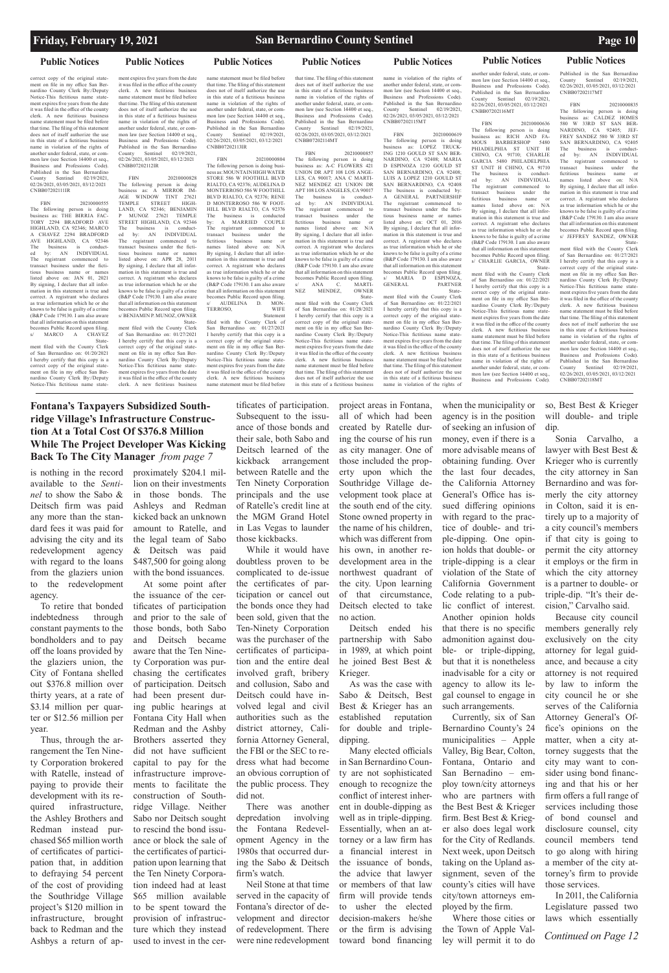## **Fontana's Taxpayers Subsidized Southridge Village's Infrastructure Construction At a Total Cost Of \$376.8 Million While The Project Developer Was Kicking Back To The City Manager** *from page 7*

*Continued on Page 12* 

### **Public Notices Public Notices**

### **Friday, February 19, 2021 San Bernardino County Sentinel Page 10**

correct copy of the original statement on file in my office San Bernardino County Clerk By:/Deputy Notice-This fictitious name statement expires five years from the date it was filed in the office of the county clerk. A new fictitious business name statement must be filed before that time. The filing of this statement does not of itself authorize the use in this state of a fictitious business name in violation of the rights of another under federal, state, or common law (see Section 14400 et seq., Business and Professions Code). Published in the San Bernardino<br>County Sentinel 02/19/2021 County Sentinel 02/19/2021, 02/26/2021, 03/05/2021, 03/12/2021 CNBB07202111IR

FBN 20210000555 The following person is doing business as: THE BIRRIA FAC-TORY 2294 BRADFORD AVE HIGHLAND, CA 92346; MARCO A CHAVEZ 2294 BRADFORD AVE HIGHLAND, CA 92346 The business is conduct-ed by: AN INDIVIDUAL The registrant commenced to transact business under the fictitious business name or names listed above on: JAN 01, 2021 By signing, I declare that all information in this statement is true and correct. A registrant who declares as true information which he or she knows to be false is guilty of a crime (B&P Code 179130. I am also aware that all information on this statement becomes Public Record upon filing. MARCO A CHAVEZ State-

of San Bernardino on: 01/27/2021 I hereby certify that this copy is a correct copy of the original statement on file in my office San Bernardino County Clerk By:/Deputy Notice-This fictitious name statement expires five years from the date it was filed in the office of the county clerk. A new fictitious business

ment filed with the County Clerk of San Bernardino on: 01/20/2021 I hereby certify that this copy is a correct copy of the original statement on file in my office San Bernardino County Clerk By:/Deputy Notice-This fictitious name state-

### ment expires five years from the date it was filed in the office of the county clerk. A new fictitious business name statement must be filed before that time. The filing of this statement does not of itself authorize the use in this state of a fictitious business name in violation of the rights of another under federal, state, or common law (see Section 14400 et seq., Business and Professions Code). Published in the San Bernardino County Sentinel 02/19/2021, 02/26/2021, 03/05/2021, 03/12/2021 CNBB07202112IR

FBN 20210000828 The following person is doing business as: A MIRROR IM-AGE WINDOW TINT 27621 TEMPLE STREET HIGH-TEMPLE STREET HIGH-<br>LAND, CA 92346; BENJAMIN<br>P MUNOZ 27621 TEMPLE 27621 TEMPLE STREET HIGHLAND, CA 92346<br>The business is conduct-The business is conduct-ed by: AN INDIVIDUAL The registrant commenced to transact business under the fictitious business name or names listed above on: APR 28, 2011 By signing, I declare that all information in this statement is true and correct. A registrant who declares as true information which he or she knows to be false is guilty of a crime (B&P Code 179130. I am also aware that all information on this statement becomes Public Record upon filing. s/ BENJAMIN P. MUNOZ, OWNER Statement filed with the County Clerk

name statement must be filed before that time. The filing of this statement does not of itself authorize the use in this state of a fictitious business name in violation of the rights of another under federal, state, or common law (see Section 14400 et seq., Business and Professions Code). Published in the San Bernardino<br>County Sentinel 02/19/2021  $02/19/2021$ 02/26/2021, 03/05/2021, 03/12/2021 CNBB07202113IR

FBN 20210000636 The following person is doing business as: RICH AND FA-MOUS BARBERSHOP 5480 PHIADELPHIA ST UNIT H CHINO, CA 91710; CHARLIE GARCIA 5480 PHILADELPHIA ST UNIT H CHINO, CA 91710<br>The business is conduct-The business is conduct-<br>ed by: AN INDIVIDUAL

**Public Notices Public Notices Public Notices Public Notices Public Notices** another under federal, state, or com-

> mon law (see Section 14400 et seq. Business and Professions Code). Published in the San Bernardino<br>County Sentinel 02/19/2021,

FBN 20210000804 The following person is doing busi-ness as: MOUNTAIN HIGH WATER STORE 586 W FOOTHILL BLVD RIALTO, CA 92376; AUDELINA D MONTERROSO 586 W FOOTHILL BLVD RIALTO, CA 92376; RENE D MONTERROSO 586 W FOOT-HILL BLVD RIALTO, CA 92376 The business is conducted by: A MARRIED COUPLE The registrant commenced to transact business under the business name or names listed above on: N/A By signing, I declare that all information in this statement is true and correct. A registrant who declares as true information which he or she knows to be false is guilty of a crime (B&P Code 179130. I am also aware that all information on this statement becomes Public Record upon filing. AUDELINA D. MON-TERROSO, WIFE Statement

The registrant commenced to<br>transact business under the transact business under the fictitious business name or<br>names listed above on: N/A names listed above on: By signing, I declare that all inforon in this statement is true and correct. A registrant who declares as true information which he or she knows to be false is guilty of a crime (B&P Code 179130. I am also aware that all information on this statement becomes Public Record upon filing. s/ CHARLIE GARCIA, OWNER State-ment filed with the County Clerk of San Bernardino on: 01/22/2021 I hereby certify that this copy is a correct copy of the original statement on file in my office San Bernardino County Clerk By:/Deputy Notice-This fictitious name statement expires five years from the date it was filed in the office of the county clerk. A new fictitious business name statement must be filed before that time. The filing of this statement does not of itself authorize the use in this state of a fictitious business name in violation of the rights of another under federal, state, or common law (see Section 14400 et seq., Business and Professions Code).

filed with the County Clerk of San Bernardino on: 01/27/2021 I hereby certify that this copy is a correct copy of the original state-ment on file in my office San Bernardino County Clerk By:/Deputy Notice-This fictitious name statement expires five years from the date it was filed in the office of the county clerk. A new fictitious business name statement must be filed before

Published in the San Bernardino<br>County Sentinel 02/19/2021 County Sentinel 02/26/2021, 03/05/2021, 03/12/2021 CNBB07202117MT

that time. The filing of this statement

FBN 20210000835<br>
c following person is doing The following person is  $\,$ business as: CALDEZ HOMES 580 W 33RD ST SAN BER-NARDINO, CA 92405; JEF-FREY SANDEZ 580 W 33RD ST SAN BERNARDINO, CA 92405 The business is conduct-<br>ed by: AN INDIVIDUAL ed by: AN INDIVIDUAL The registrant commenced to transact business under the fictitious business name or<br>names listed above on: N/A names listed above on: By signing, I declare that all information in this statement is true and correct. A registrant who declares as true information which he or she knows to be false is guilty of a crime (B&P Code 179130. I am also aware that all information on this statement becomes Public Record upon filing s/ JEFFREY SANDEZ, OWNER

does not of itself authorize the use in this state of a fictitious business name in violation of the rights of another under federal, state, or common law (see Section 14400 et seq., Business and Professions Code). Published in the San Bernardino<br>County Sentinel 02/19/2021. County Sentinel 02/19/2021, 02/26/2021, 03/05/2021, 03/12/2021 CNBB07202114MT

FBN 20210000857 The following person is doing business as: A-C FLOWERS 421 UNION DR APT 108 LOS ANGE-LES, CA 90017; ANA C MARTI-NEZ MENDEZ 421 UNION DR APT 108 LOS ANGELES, CA 90017 The business is conduct-ed by: AN INDIVIDUAL The registrant commenced to transact business under the<br>fictitious business name or fictitious business name or<br>names listed above on: N/A names listed By signing, I declare that all infor-mation in this statement is true and correct. A registrant who declares as true information which he or she knows to be false is guilty of a crime (B&P Code 179130. I am also aware that all information on this statement becomes Public Record upon filing. s/ ANA C. MARTI-<br>NEZ MENDEZ, OWNER MENDEZ, State-

ment filed with the County Clerk of San Bernardino on: 01/28/2021 I hereby certify that this copy is a correct copy of the original statement on file in my office San Bernardino County Clerk By:/Deputy Notice-This fictitious name statement expires five years from the date it was filed in the office of the county clerk. A new fictitious business name statement must be filed before that time. The filing of this statement does not of itself authorize the use in this state of a fictitious business

name in violation of the rights of another under federal, state, or common law (see Section 14400 et seq., Business and Professions Code). Published in the San Bernardino County Sentinel 02/19/2021, 02/26/2021, 03/05/2021, 03/12/2021 CNBB07202115MT

FBN 20210000619 The following person is doing business as: LOPEZ TRUCK-ING 1210 GOULD ST SAN BER-NARDINO, CA 92408; MARIA D ESPINOZA 1210 GOULD ST SAN BERNARDINO, CA 92408 LUIS A LOPEZ 1210 GOULD ST SAN BERNARDINO, CA 92408 The business is conducted by: A GENERAL PARTNERSHIP The registrant commenced to transact business under the fictitious business name or names listed above on: OCT 01, 2016 By signing, I declare that all information in this statement is true and correct. A registrant who declares as true information which he or she knows to be false is guilty of a crime (B&P Code 179130. I am also aware that all information on this statement becomes Public Record upon filing. s/ MARIA D ESPINOZA<br>GENERAL PARTNEI PARTNER State-

ment filed with the County Clerk of San Bernardino on: 01/22/2021 I hereby certify that this copy is a correct copy of the original state-ment on file in my office San Bernardino County Clerk By:/Deputy Notice-This fictitious name statement expires five years from the date it was filed in the office of the county clerk. A new fictitious business name statement must be filed before that time. The filing of this statement does not of itself authorize the use in this state of a fictitious business name in violation of the rights of

02/26/2021, 03/05/2021, 03/12/2021

CNBB07202116MT

ed by: AN

02/19/2021

 State-ment filed with the County Clerk of San Bernardino on: 01/27/2021 I hereby certify that this copy is a correct copy of the original statement on file in my office San Bernardino County Clerk By:/Deputy Notice-This fictitious name statement expires five years from the date it was filed in the office of the county clerk. A new fictitious business name statement must be filed before that time. The filing of this statement does not of itself authorize the use in this state of a fictitious business name in violation of the rights of another under federal, state, or common law (see Section 14400 et seq., Business and Professions Code). Published in the San Bernardino<br>County Sentinel 02/19/2021 02/19/2021 02/26/2021, 03/05/2021, 03/12/2021 CNBB07202118MT

is nothing in the record available to the *Sentinel* to show the Sabo & Deitsch firm was paid any more than the standard fees it was paid for advising the city and its redevelopment agency with regard to the loans from the glaziers union to the redevelopment agency.

To retire that bonded indebtedness through constant payments to the bondholders and to pay off the loans provided by the glaziers union, the City of Fontana shelled out \$376.8 million over thirty years, at a rate of \$3.14 million per quarter or \$12.56 million per year.

Thus, through the arrangement the Ten Nine-

ty Corporation brokered with Ratelle, instead of paying to provide their development with its required infrastructure, the Ashley Brothers and Redman instead purchased \$65 million worth of certificates of participation that, in addition to defraying 54 percent of the cost of providing the Southridge Village project's \$120 million in infrastructure, brought back to Redman and the Ashbys a return of approximately \$204.1 million on their investments in those bonds. The Ashleys and Redman kicked back an unknown amount to Ratelle, and the legal team of Sabo & Deitsch was paid \$487,500 for going along with the bond issuances.

At some point after the issuance of the certificates of participation and prior to the sale of those bonds, both Sabo and Deitsch became aware that the Ten Ninety Corporation was purchasing the certificates of participation. Deitsch had been present during public hearings at Fontana City Hall when Redman and the Ashby Brothers asserted they did not have sufficient capital to pay for the infrastructure improvements to facilitate the construction of Southridge Village. Neither Sabo nor Deitsch sought to rescind the bond issuance or block the sale of the certificates of participation upon learning that the Ten Ninety Corporation indeed had at least \$65 million available to be spent toward the provision of infrastructure which they instead used to invest in the certificates of participation. Subsequent to the issuance of those bonds and their sale, both Sabo and Deitsch learned of the kickback arrangement between Ratelle and the Ten Ninety Corporation principals and the use of Ratelle's credit line at the MGM Grand Hotel in Las Vegas to launder those kickbacks.

While it would have doubtless proven to be complicated to de-issue the certificates of participation or cancel out the bonds once they had been sold, given that the Ten-Ninety Corporation was the purchaser of the certificates of participation and the entire deal involved graft, bribery and collusion, Sabo and Deitsch could have involved legal and civil authorities such as the district attorney, California Attorney General, the FBI or the SEC to re-

dress what had become an obvious corruption of the public process. They did not.

There was another depredation involving the Fontana Redevelopment Agency in the 1980s that occurred during the Sabo & Deitsch firm's watch.

Neil Stone at that time served in the capacity of Fontana's director of development and director of redevelopment. There were nine redevelopment

project areas in Fontana, all of which had been created by Ratelle during the course of his run as city manager. One of those included the property upon which the Southridge Village development took place at the south end of the city. Stone owned property in the name of his children, which was different from his own, in another redevelopment area in the northwest quadrant of the city. Upon learning of that circumstance, Deitsch elected to take no action.

Deitsch ended his partnership with Sabo in 1989, at which point he joined Best Best & Krieger.

As was the case with Sabo & Deitsch, Best Best & Krieger has an established reputation for double and tripledipping.

Many elected officials in San Bernardino County are not sophisticated enough to recognize the conflict of interest inherent in double-dipping as well as in triple-dipping. Essentially, when an attorney or a law firm has a financial interest in the issuance of bonds, the advice that lawyer or members of that law firm will provide tends to usher the elected decision-makers he/she or the firm is advising toward bond financing

when the municipality or agency is in the position of seeking an infusion of money, even if there is a more advisable means of obtaining funding. Over the last four decades, the California Attorney General's Office has issued differing opinions with regard to the practice of double- and triple-dipping. One opinion holds that double- or triple-dipping is a clear violation of the State of California Government Code relating to a public conflict of interest. Another opinion holds that there is no specific admonition against double- or triple-dipping, but that it is nonetheless inadvisable for a city or agency to allow its legal counsel to engage in such arrangements.

Currently, six of San Bernardino County's 24 municipalities – Apple Valley, Big Bear, Colton,

Fontana, Ontario and San Bernadino – employ town/city attorneys who are partners with the Best Best & Krieger firm. Best Best & Krieger also does legal work for the City of Redlands. Next week, upon Deitsch taking on the Upland assignment, seven of the county's cities will have city/town attorneys employed by the firm. Where those cities or the Town of Apple Val-

ley will permit it to do

so, Best Best & Krieger will double- and triple dip.

Sonia Carvalho, a lawyer with Best Best & Krieger who is currently the city attorney in San Bernardino and was formerly the city attorney in Colton, said it is entirely up to a majority of a city council's members if that city is going to permit the city attorney it employs or the firm in which the city attorney is a partner to double- or triple-dip. "It's their decision," Carvalho said.

Because city council members generally rely exclusively on the city attorney for legal guidance, and because a city attorney is not required by law to inform the city council he or she serves of the California Attorney General's Office's opinions on the matter, when a city attorney suggests that the city may want to consider using bond financing and that his or her firm offers a full range of services including those of bond counsel and disclosure counsel, city council members tend to go along with hiring a member of the city attorney's firm to provide those services.

In 2011, the California Legislature passed two laws which essentially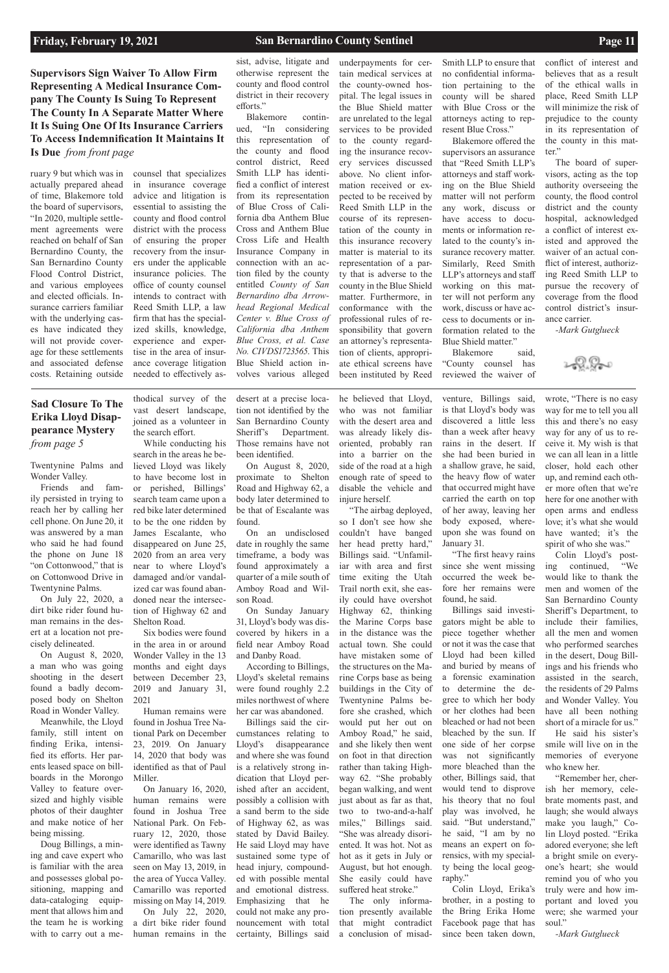Twentynine Palms and Wonder Valley.

Friends and family persisted in trying to reach her by calling her cell phone. On June 20, it was answered by a man who said he had found the phone on June 18 "on Cottonwood," that is on Cottonwood Drive in Twentynine Palms.

On July 22, 2020, a dirt bike rider found human remains in the desert at a location not precisely delineated.

On August 8, 2020, a man who was going shooting in the desert found a badly decomposed body on Shelton Road in Wonder Valley.

Meanwhile, the Lloyd family, still intent on finding Erika, intensified its efforts. Her par-

ents leased space on billboards in the Morongo Valley to feature oversized and highly visible photos of their daughter and make notice of her being missing.

Doug Billings, a mining and cave expert who is familiar with the area and possesses global positioning, mapping and data-cataloging equipment that allows him and the team he is working with to carry out a me-

thodical survey of the vast desert landscape, joined as a volunteer in the search effort.

While conducting his search in the areas he believed Lloyd was likely to have become lost in or perished, Billings' search team came upon a red bike later determined to be the one ridden by James Escalante, who disappeared on June 25, 2020 from an area very near to where Lloyd's damaged and/or vandalized car was found abandoned near the intersection of Highway 62 and Shelton Road.

Six bodies were found in the area in or around Wonder Valley in the 13 months and eight days between December 23, 2019 and January 31, 2021

Human remains were found in Joshua Tree National Park on December 23, 2019. On January 14, 2020 that body was

identified as that of Paul Miller.

On January 16, 2020, human remains were found in Joshua Tree National Park. On February 12, 2020, those were identified as Tawny Camarillo, who was last seen on May 13, 2019, in the area of Yucca Valley. Camarillo was reported missing on May 14, 2019. On July 22, 2020, a dirt bike rider found human remains in the

desert at a precise location not identified by the San Bernardino County Sheriff's Department. Those remains have not been identified.

On August 8, 2020, proximate to Shelton Road and Highway 62, a body later determined to be that of Escalante was found.

On an undisclosed date in roughly the same timeframe, a body was found approximately a quarter of a mile south of Amboy Road and Wilson Road.

On Sunday January 31, Lloyd's body was discovered by hikers in a field near Amboy Road and Danby Road.

According to Billings, Lloyd's skeletal remains were found roughly 2.2 miles northwest of where her car was abandoned.

Billings said the circumstances relating to Lloyd's disappearance and where she was found

is a relatively strong indication that Lloyd perished after an accident, possibly a collision with a sand berm to the side of Highway 62, as was stated by David Bailey. He said Lloyd may have sustained some type of head injury, compounded with possible mental and emotional distress. Emphasizing that he could not make any pronouncement with total certainty, Billings said

he believed that Lloyd, who was not familiar with the desert area and was already likely disoriented, probably ran into a barrier on the side of the road at a high enough rate of speed to disable the vehicle and injure herself.

"The airbag deployed, so I don't see how she couldn't have banged her head pretty hard," Billings said. "Unfamiliar with area and first time exiting the Utah Trail north exit, she easily could have overshot Highway 62, thinking the Marine Corps base in the distance was the actual town. She could have mistaken some of the structures on the Marine Corps base as being buildings in the City of Twentynine Palms before she crashed, which would put her out on Amboy Road," he said, and she likely then went on foot in that direction rather than taking Highway 62. "She probably began walking, and went just about as far as that, two to two-and-a-half miles," Billings said. "She was already disoriented. It was hot. Not as hot as it gets in July or August, but hot enough. She easily could have suffered heat stroke." The only information presently available that might contradict a conclusion of misad-

Blakemore said, "County counsel has reviewed the waiver of

venture, Billings said, is that Lloyd's body was discovered a little less than a week after heavy rains in the desert. If she had been buried in a shallow grave, he said, the heavy flow of water that occurred might have carried the earth on top of her away, leaving her body exposed, whereupon she was found on January 31.

"The first heavy rains since she went missing occurred the week before her remains were found, he said.

Billings said investigators might be able to piece together whether or not it was the case that Lloyd had been killed and buried by means of a forensic examination to determine the degree to which her body or her clothes had been bleached or had not been bleached by the sun. If one side of her corpse was not significantly

more bleached than the other, Billings said, that would tend to disprove his theory that no foul play was involved, he said. "But understand," he said, "I am by no means an expert on forensics, with my specialty being the local geography."

Colin Lloyd, Erika's brother, in a posting to the Bring Erika Home Facebook page that has since been taken down,

wrote, "There is no easy way for me to tell you all this and there's no easy way for any of us to receive it. My wish is that we can all lean in a little closer, hold each other up, and remind each other more often that we're here for one another with open arms and endless love; it's what she would have wanted; it's the spirit of who she was."

Colin Lloyd's posting continued, "We would like to thank the men and women of the San Bernardino County Sheriff's Department, to include their families, all the men and women who performed searches in the desert, Doug Billings and his friends who assisted in the search, the residents of 29 Palms and Wonder Valley. You have all been nothing short of a miracle for us."

He said his sister's smile will live on in the memories of everyone who knew her. "Remember her, cherish her memory, celebrate moments past, and laugh; she would always make you laugh," Colin Lloyd posted. "Erika adored everyone; she left a bright smile on everyone's heart; she would remind you of who you truly were and how important and loved you

were; she warmed your

soul."

*-Mark Gutglueck*

ruary 9 but which was in actually prepared ahead of time, Blakemore told the board of supervisors, "In 2020, multiple settlement agreements were reached on behalf of San Bernardino County, the San Bernardino County Flood Control District, and various employees and elected officials. Insurance carriers familiar with the underlying cases have indicated they will not provide coverage for these settlements and associated defense costs. Retaining outside

counsel that specializes in insurance coverage advice and litigation is essential to assisting the county and flood control district with the process of ensuring the proper recovery from the insurers under the applicable insurance policies. The office of county counsel intends to contract with Reed Smith LLP, a law firm that has the specialized skills, knowledge, experience and expertise in the area of insurance coverage litigation needed to effectively asunderpayments for certain medical services at the county-owned hospital. The legal issues in the Blue Shield matter are unrelated to the legal services to be provided to the county regarding the insurance recovery services discussed above. No client information received or expected to be received by Reed Smith LLP in the course of its representation of the county in this insurance recovery matter is material to its representation of a party that is adverse to the county in the Blue Shield matter. Furthermore, in conformance with the professional rules of responsibility that govern an attorney's representation of clients, appropriate ethical screens have been instituted by Reed

Smith LLP to ensure that no confidential information pertaining to the county will be shared with Blue Cross or the attorneys acting to represent Blue Cross."

Blakemore offered the supervisors an assurance that "Reed Smith LLP's attorneys and staff working on the Blue Shield matter will not perform any work, discuss or have access to documents or information related to the county's insurance recovery matter. Similarly, Reed Smith LLP's attorneys and staff working on this matter will not perform any work, discuss or have access to documents or information related to the Blue Shield matter."

conflict of interest and believes that as a result of the ethical walls in place, Reed Smith LLP will minimize the risk of prejudice to the county in its representation of the county in this matter."

The board of supervisors, acting as the top authority overseeing the county, the flood control district and the county hospital, acknowledged a conflict of interest existed and approved the waiver of an actual conflict of interest, authorizing Reed Smith LLP to pursue the recovery of coverage from the flood control district's insurance carrier.

*-Mark Gutglueck*

2-9.9-t

sist, advise, litigate and otherwise represent the county and flood control district in their recovery efforts."

Blakemore continued, "In considering this representation of the county and flood control district, Reed Smith LLP has identified a conflict of interest from its representation of Blue Cross of California dba Anthem Blue Cross and Anthem Blue Cross Life and Health Insurance Company in connection with an action filed by the county entitled *County of San Bernardino dba Arrowhead Regional Medical Center v. Blue Cross of California dba Anthem Blue Cross, et al. Case No. CIVDS1723565*. This Blue Shield action involves various alleged

**Supervisors Sign Waiver To Allow Firm Representing A Medical Insurance Company The County Is Suing To Represent The County In A Separate Matter Where It Is Suing One Of Its Insurance Carriers To Access Indemnification It Maintains It Is Due** *from front page* 

## **Sad Closure To The Erika Lloyd Disappearance Mystery**  *from page 5*